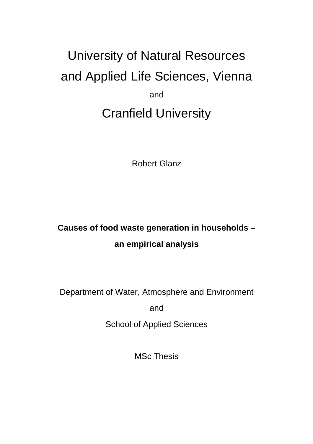# University of Natural Resources and Applied Life Sciences, Vienna and Cranfield University

Robert Glanz

# **Causes of food waste generation in households – an empirical analysis**

Department of Water, Atmosphere and Environment

and

School of Applied Sciences

MSc Thesis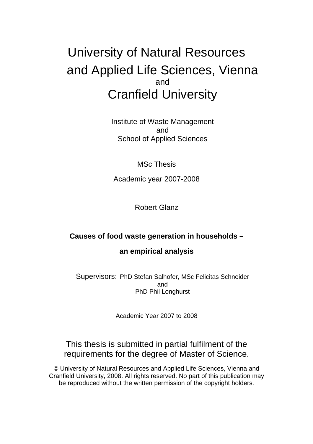# University of Natural Resources and Applied Life Sciences, Vienna and Cranfield University

Institute of Waste Management and School of Applied Sciences

MSc Thesis

Academic year 2007-2008

Robert Glanz

#### **Causes of food waste generation in households –**

#### **an empirical analysis**

Supervisors: PhD Stefan Salhofer, MSc Felicitas Schneider and PhD Phil Longhurst

Academic Year 2007 to 2008

#### This thesis is submitted in partial fulfilment of the requirements for the degree of Master of Science.

© University of Natural Resources and Applied Life Sciences, Vienna and Cranfield University, 2008. All rights reserved. No part of this publication may be reproduced without the written permission of the copyright holders.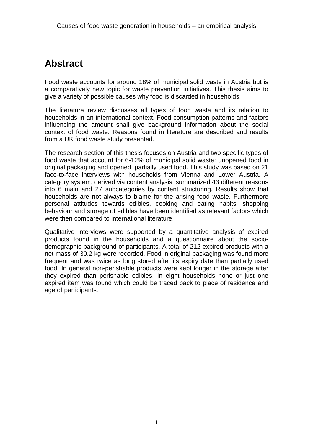### **Abstract**

Food waste accounts for around 18% of municipal solid waste in Austria but is a comparatively new topic for waste prevention initiatives. This thesis aims to give a variety of possible causes why food is discarded in households.

The literature review discusses all types of food waste and its relation to households in an international context. Food consumption patterns and factors influencing the amount shall give background information about the social context of food waste. Reasons found in literature are described and results from a UK food waste study presented.

The research section of this thesis focuses on Austria and two specific types of food waste that account for 6-12% of municipal solid waste: unopened food in original packaging and opened, partially used food. This study was based on 21 face-to-face interviews with households from Vienna and Lower Austria. A category system, derived via content analysis, summarized 43 different reasons into 6 main and 27 subcategories by content structuring. Results show that households are not always to blame for the arising food waste. Furthermore personal attitudes towards edibles, cooking and eating habits, shopping behaviour and storage of edibles have been identified as relevant factors which were then compared to international literature.

Qualitative interviews were supported by a quantitative analysis of expired products found in the households and a questionnaire about the sociodemographic background of participants. A total of 212 expired products with a net mass of 30.2 kg were recorded. Food in original packaging was found more frequent and was twice as long stored after its expiry date than partially used food. In general non-perishable products were kept longer in the storage after they expired than perishable edibles. In eight households none or just one expired item was found which could be traced back to place of residence and age of participants.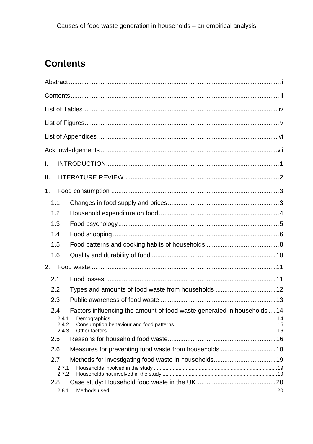# **Contents**

| I.  |                                |                                                                          |  |
|-----|--------------------------------|--------------------------------------------------------------------------|--|
|     |                                |                                                                          |  |
| ΙΙ. |                                |                                                                          |  |
| 1.  |                                |                                                                          |  |
|     | 1.1                            |                                                                          |  |
|     | 1.2                            |                                                                          |  |
|     | 1.3                            |                                                                          |  |
|     | 1.4                            |                                                                          |  |
|     | 1.5                            |                                                                          |  |
|     | 1.6                            |                                                                          |  |
| 2.  |                                |                                                                          |  |
|     | 2.1                            |                                                                          |  |
|     | 2.2                            | Types and amounts of food waste from households  12                      |  |
|     | 2.3                            |                                                                          |  |
|     | 2.4<br>2.4.1<br>2.4.2<br>2.4.3 | Factors influencing the amount of food waste generated in households  14 |  |
|     | 2.5                            |                                                                          |  |
|     | 2.6                            |                                                                          |  |
|     | 2.7                            |                                                                          |  |
|     | 2.7.1<br>2.7.2                 |                                                                          |  |
|     | 2.8<br>2.8.1                   |                                                                          |  |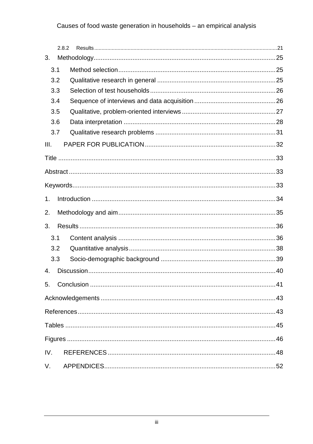#### Causes of food waste generation in households - an empirical analysis

|                | 2.8.2 |  |  |  |  |
|----------------|-------|--|--|--|--|
| 3.             |       |  |  |  |  |
|                | 3.1   |  |  |  |  |
|                | 3.2   |  |  |  |  |
|                | 3.3   |  |  |  |  |
|                | 3.4   |  |  |  |  |
|                | 3.5   |  |  |  |  |
|                | 3.6   |  |  |  |  |
|                | 3.7   |  |  |  |  |
| III.           |       |  |  |  |  |
|                |       |  |  |  |  |
|                |       |  |  |  |  |
|                |       |  |  |  |  |
| 1 <sub>1</sub> |       |  |  |  |  |
| 2.             |       |  |  |  |  |
| 3.             |       |  |  |  |  |
|                | 3.1   |  |  |  |  |
|                | 3.2   |  |  |  |  |
|                | 3.3   |  |  |  |  |
| 4.             |       |  |  |  |  |
|                |       |  |  |  |  |
| 5.             |       |  |  |  |  |
|                |       |  |  |  |  |
|                |       |  |  |  |  |
|                |       |  |  |  |  |
|                |       |  |  |  |  |
| IV.            |       |  |  |  |  |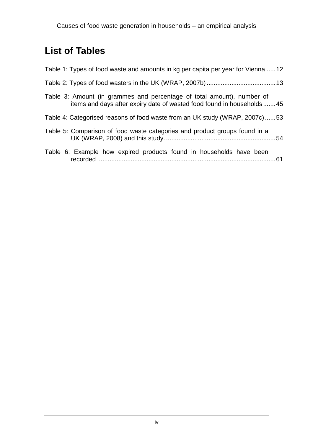## **List of Tables**

| Table 1: Types of food waste and amounts in kg per capita per year for Vienna 12                                                                 |  |
|--------------------------------------------------------------------------------------------------------------------------------------------------|--|
|                                                                                                                                                  |  |
| Table 3: Amount (in grammes and percentage of total amount), number of<br>items and days after expiry date of wasted food found in households 45 |  |
| Table 4: Categorised reasons of food waste from an UK study (WRAP, 2007c)53                                                                      |  |
| Table 5: Comparison of food waste categories and product groups found in a                                                                       |  |
| Table 6: Example how expired products found in households have been                                                                              |  |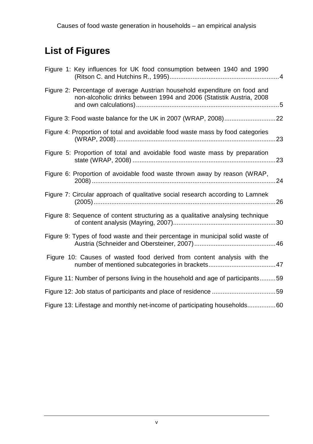# **List of Figures**

| Figure 1: Key influences for UK food consumption between 1940 and 1990                                                                            |
|---------------------------------------------------------------------------------------------------------------------------------------------------|
| Figure 2: Percentage of average Austrian household expenditure on food and<br>non-alcoholic drinks between 1994 and 2006 (Statistik Austria, 2008 |
|                                                                                                                                                   |
| Figure 4: Proportion of total and avoidable food waste mass by food categories                                                                    |
| Figure 5: Proportion of total and avoidable food waste mass by preparation                                                                        |
| Figure 6: Proportion of avoidable food waste thrown away by reason (WRAP,                                                                         |
| Figure 7: Circular approach of qualitative social research according to Lamnek                                                                    |
| Figure 8: Sequence of content structuring as a qualitative analysing technique                                                                    |
| Figure 9: Types of food waste and their percentage in municipal solid waste of                                                                    |
| Figure 10: Causes of wasted food derived from content analysis with the                                                                           |
| Figure 11: Number of persons living in the household and age of participants59                                                                    |
|                                                                                                                                                   |
| Figure 13: Lifestage and monthly net-income of participating households60                                                                         |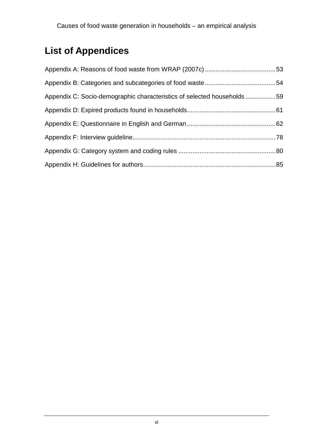# **List of Appendices**

| Appendix C: Socio-demographic characteristics of selected households 59 |  |
|-------------------------------------------------------------------------|--|
|                                                                         |  |
|                                                                         |  |
|                                                                         |  |
|                                                                         |  |
|                                                                         |  |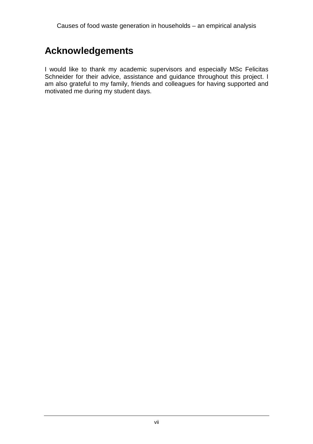### **Acknowledgements**

I would like to thank my academic supervisors and especially MSc Felicitas Schneider for their advice, assistance and guidance throughout this project. I am also grateful to my family, friends and colleagues for having supported and motivated me during my student days.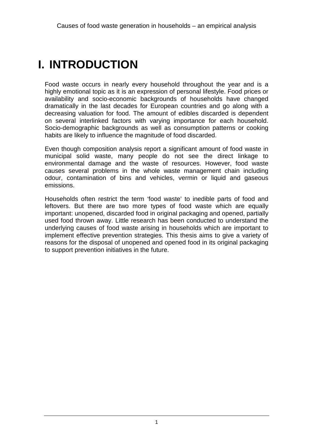# **I. INTRODUCTION**

Food waste occurs in nearly every household throughout the year and is a highly emotional topic as it is an expression of personal lifestyle. Food prices or availability and socio-economic backgrounds of households have changed dramatically in the last decades for European countries and go along with a decreasing valuation for food. The amount of edibles discarded is dependent on several interlinked factors with varying importance for each household. Socio-demographic backgrounds as well as consumption patterns or cooking habits are likely to influence the magnitude of food discarded.

Even though composition analysis report a significant amount of food waste in municipal solid waste, many people do not see the direct linkage to environmental damage and the waste of resources. However, food waste causes several problems in the whole waste management chain including odour, contamination of bins and vehicles, vermin or liquid and gaseous emissions.

Households often restrict the term 'food waste' to inedible parts of food and leftovers. But there are two more types of food waste which are equally important: unopened, discarded food in original packaging and opened, partially used food thrown away. Little research has been conducted to understand the underlying causes of food waste arising in households which are important to implement effective prevention strategies. This thesis aims to give a variety of reasons for the disposal of unopened and opened food in its original packaging to support prevention initiatives in the future.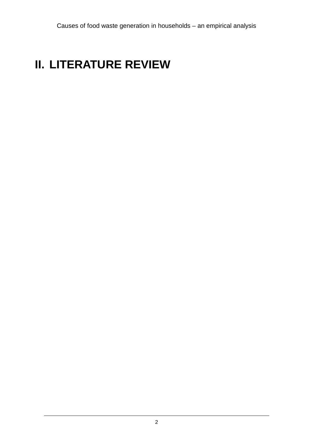# **II. LITERATURE REVIEW**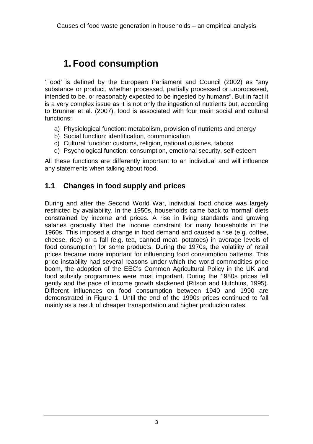### **1. Food consumption**

'Food' is defined by the European Parliament and Council (2002) as "any substance or product, whether processed, partially processed or unprocessed, intended to be, or reasonably expected to be ingested by humans". But in fact it is a very complex issue as it is not only the ingestion of nutrients but, according to Brunner et al. (2007), food is associated with four main social and cultural functions:

- a) Physiological function: metabolism, provision of nutrients and energy
- b) Social function: identification, communication
- c) Cultural function: customs, religion, national cuisines, taboos
- d) Psychological function: consumption, emotional security, self-esteem

All these functions are differently important to an individual and will influence any statements when talking about food.

#### **1.1 Changes in food supply and prices**

During and after the Second World War, individual food choice was largely restricted by availability. In the 1950s, households came back to 'normal' diets constrained by income and prices. A rise in living standards and growing salaries gradually lifted the income constraint for many households in the 1960s. This imposed a change in food demand and caused a rise (e.g. coffee, cheese, rice) or a fall (e.g. tea, canned meat, potatoes) in average levels of food consumption for some products. During the 1970s, the volatility of retail prices became more important for influencing food consumption patterns. This price instability had several reasons under which the world commodities price boom, the adoption of the EEC's Common Agricultural Policy in the UK and food subsidy programmes were most important. During the 1980s prices fell gently and the pace of income growth slackened (Ritson and Hutchins, 1995). Different influences on food consumption between 1940 and 1990 are demonstrated in Figure 1. Until the end of the 1990s prices continued to fall mainly as a result of cheaper transportation and higher production rates.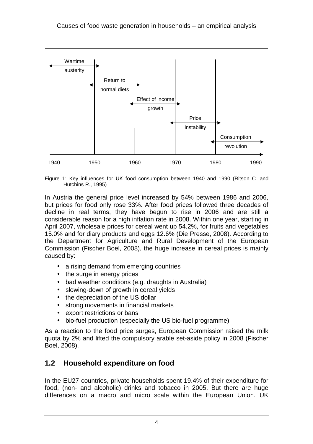

Figure 1: Key influences for UK food consumption between 1940 and 1990 (Ritson C. and Hutchins R., 1995)

In Austria the general price level increased by 54% between 1986 and 2006, but prices for food only rose 33%. After food prices followed three decades of decline in real terms, they have begun to rise in 2006 and are still a considerable reason for a high inflation rate in 2008. Within one year, starting in April 2007, wholesale prices for cereal went up 54.2%, for fruits and vegetables 15.0% and for diary products and eggs 12.6% (Die Presse, 2008). According to the Department for Agriculture and Rural Development of the European Commission (Fischer Boel, 2008), the huge increase in cereal prices is mainly caused by:

- a rising demand from emerging countries
- the surge in energy prices
- bad weather conditions (e.g. draughts in Australia)
- slowing-down of growth in cereal yields
- the depreciation of the US dollar
- strong movements in financial markets
- export restrictions or bans
- bio-fuel production (especially the US bio-fuel programme)

As a reaction to the food price surges, European Commission raised the milk quota by 2% and lifted the compulsory arable set-aside policy in 2008 (Fischer Boel, 2008).

#### **1.2 Household expenditure on food**

In the EU27 countries, private households spent 19.4% of their expenditure for food, (non- and alcoholic) drinks and tobacco in 2005. But there are huge differences on a macro and micro scale within the European Union. UK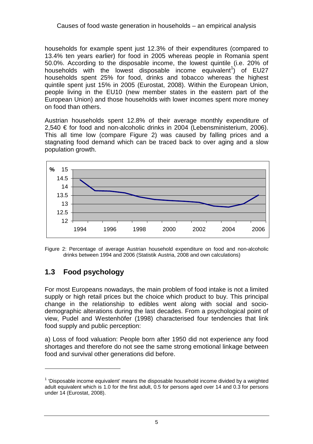households for example spent just 12.3% of their expenditures (compared to 13.4% ten years earlier) for food in 2005 whereas people in Romania spent 50.0%. According to the disposable income, the lowest quintile (i.e. 20% of households with the lowest disposable income equivalent<sup>1</sup>) of EU27 households spent 25% for food, drinks and tobacco whereas the highest quintile spent just 15% in 2005 (Eurostat, 2008). Within the European Union, people living in the EU10 (new member states in the eastern part of the European Union) and those households with lower incomes spent more money on food than others.

Austrian households spent 12.8% of their average monthly expenditure of 2,540 € for food and non-alcoholic drinks in 2004 (Lebensministerium, 2006). This all time low (compare Figure 2) was caused by falling prices and a stagnating food demand which can be traced back to over aging and a slow population growth.





#### **1.3 Food psychology**

 $\overline{a}$ 

For most Europeans nowadays, the main problem of food intake is not a limited supply or high retail prices but the choice which product to buy. This principal change in the relationship to edibles went along with social and sociodemographic alterations during the last decades. From a psychological point of view, Pudel and Westenhöfer (1998) characterised four tendencies that link food supply and public perception:

a) Loss of food valuation: People born after 1950 did not experience any food shortages and therefore do not see the same strong emotional linkage between food and survival other generations did before.

 $1$  'Disposable income equivalent' means the disposable household income divided by a weighted adult equivalent which is 1.0 for the first adult, 0.5 for persons aged over 14 and 0.3 for persons under 14 (Eurostat, 2008).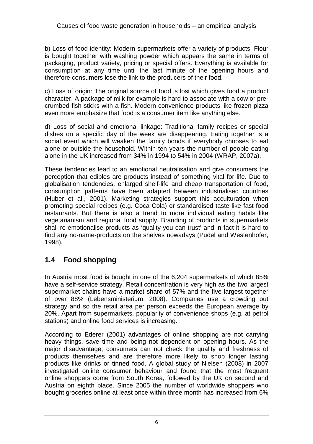b) Loss of food identity: Modern supermarkets offer a variety of products. Flour is bought together with washing powder which appears the same in terms of packaging, product variety, pricing or special offers. Everything is available for consumption at any time until the last minute of the opening hours and therefore consumers lose the link to the producers of their food.

c) Loss of origin: The original source of food is lost which gives food a product character. A package of milk for example is hard to associate with a cow or precrumbed fish sticks with a fish. Modern convenience products like frozen pizza even more emphasize that food is a consumer item like anything else.

d) Loss of social and emotional linkage: Traditional family recipes or special dishes on a specific day of the week are disappearing. Eating together is a social event which will weaken the family bonds if everybody chooses to eat alone or outside the household. Within ten years the number of people eating alone in the UK increased from 34% in 1994 to 54% in 2004 (WRAP, 2007a).

These tendencies lead to an emotional neutralisation and give consumers the perception that edibles are products instead of something vital for life. Due to globalisation tendencies, enlarged shelf-life and cheap transportation of food, consumption patterns have been adapted between industrialised countries (Huber et al., 2001). Marketing strategies support this acculturation when promoting special recipes (e.g. Coca Cola) or standardised taste like fast food restaurants. But there is also a trend to more individual eating habits like vegetarianism and regional food supply. Branding of products in supermarkets shall re-emotionalise products as 'quality you can trust' and in fact it is hard to find any no-name-products on the shelves nowadays (Pudel and Westenhöfer, 1998).

#### **1.4 Food shopping**

In Austria most food is bought in one of the 6,204 supermarkets of which 85% have a self-service strategy. Retail concentration is very high as the two largest supermarket chains have a market share of 57% and the five largest together of over 88% (Lebensministerium, 2008). Companies use a crowding out strategy and so the retail area per person exceeds the European average by 20%. Apart from supermarkets, popularity of convenience shops (e.g. at petrol stations) and online food services is increasing.

According to Ederer (2001) advantages of online shopping are not carrying heavy things, save time and being not dependent on opening hours. As the major disadvantage, consumers can not check the quality and freshness of products themselves and are therefore more likely to shop longer lasting products like drinks or tinned food. A global study of Nielsen (2008) in 2007 investigated online consumer behaviour and found that the most frequent online shoppers come from South Korea, followed by the UK on second and Austria on eighth place. Since 2005 the number of worldwide shoppers who bought groceries online at least once within three month has increased from 6%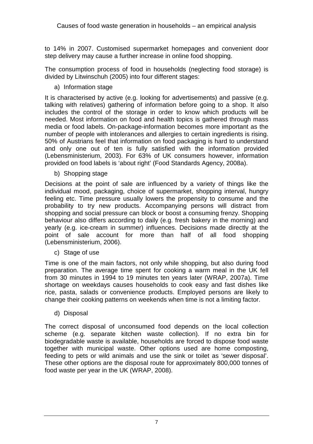to 14% in 2007. Customised supermarket homepages and convenient door step delivery may cause a further increase in online food shopping.

The consumption process of food in households (neglecting food storage) is divided by Litwinschuh (2005) into four different stages:

a) Information stage

It is characterised by active (e.g. looking for advertisements) and passive (e.g. talking with relatives) gathering of information before going to a shop. It also includes the control of the storage in order to know which products will be needed. Most information on food and health topics is gathered through mass media or food labels. On-package-information becomes more important as the number of people with intolerances and allergies to certain ingredients is rising. 50% of Austrians feel that information on food packaging is hard to understand and only one out of ten is fully satisfied with the information provided (Lebensministerium, 2003). For 63% of UK consumers however, information provided on food labels is 'about right' (Food Standards Agency, 2008a).

b) Shopping stage

Decisions at the point of sale are influenced by a variety of things like the individual mood, packaging, choice of supermarket, shopping interval, hungry feeling etc. Time pressure usually lowers the propensity to consume and the probability to try new products. Accompanying persons will distract from shopping and social pressure can block or boost a consuming frenzy. Shopping behaviour also differs according to daily (e.g. fresh bakery in the morning) and yearly (e.g. ice-cream in summer) influences. Decisions made directly at the point of sale account for more than half of all food shopping (Lebensministerium, 2006).

c) Stage of use

Time is one of the main factors, not only while shopping, but also during food preparation. The average time spent for cooking a warm meal in the UK fell from 30 minutes in 1994 to 19 minutes ten years later (WRAP, 2007a). Time shortage on weekdays causes households to cook easy and fast dishes like rice, pasta, salads or convenience products. Employed persons are likely to change their cooking patterns on weekends when time is not a limiting factor.

d) Disposal

The correct disposal of unconsumed food depends on the local collection scheme (e.g. separate kitchen waste collection). If no extra bin for biodegradable waste is available, households are forced to dispose food waste together with municipal waste. Other options used are home composting, feeding to pets or wild animals and use the sink or toilet as 'sewer disposal'. These other options are the disposal route for approximately 800,000 tonnes of food waste per year in the UK (WRAP, 2008).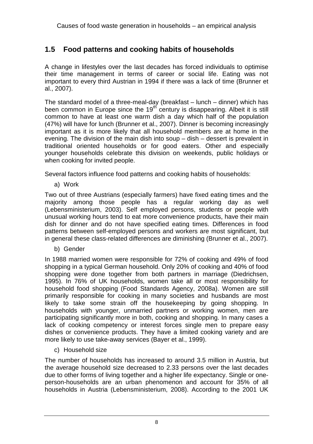#### **1.5 Food patterns and cooking habits of households**

A change in lifestyles over the last decades has forced individuals to optimise their time management in terms of career or social life. Eating was not important to every third Austrian in 1994 if there was a lack of time (Brunner et al., 2007).

The standard model of a three-meal-day (breakfast – lunch – dinner) which has been common in Europe since the  $19<sup>th</sup>$  century is disappearing. Albeit it is still common to have at least one warm dish a day which half of the population (47%) will have for lunch (Brunner et al., 2007). Dinner is becoming increasingly important as it is more likely that all household members are at home in the evening. The division of the main dish into soup – dish – dessert is prevalent in traditional oriented households or for good eaters. Other and especially younger households celebrate this division on weekends, public holidays or when cooking for invited people.

Several factors influence food patterns and cooking habits of households:

a) Work

Two out of three Austrians (especially farmers) have fixed eating times and the majority among those people has a regular working day as well (Lebensministerium, 2003). Self employed persons, students or people with unusual working hours tend to eat more convenience products, have their main dish for dinner and do not have specified eating times. Differences in food patterns between self-employed persons and workers are most significant, but in general these class-related differences are diminishing (Brunner et al., 2007).

b) Gender

In 1988 married women were responsible for 72% of cooking and 49% of food shopping in a typical German household. Only 20% of cooking and 40% of food shopping were done together from both partners in marriage (Diedrichsen, 1995). In 76% of UK households, women take all or most responsibility for household food shopping (Food Standards Agency, 2008a). Women are still primarily responsible for cooking in many societies and husbands are most likely to take some strain off the housekeeping by going shopping. In households with younger, unmarried partners or working women, men are participating significantly more in both, cooking and shopping. In many cases a lack of cooking competency or interest forces single men to prepare easy dishes or convenience products. They have a limited cooking variety and are more likely to use take-away services (Bayer et al., 1999).

c) Household size

The number of households has increased to around 3.5 million in Austria, but the average household size decreased to 2.33 persons over the last decades due to other forms of living together and a higher life expectancy. Single or oneperson-households are an urban phenomenon and account for 35% of all households in Austria (Lebensministerium, 2008). According to the 2001 UK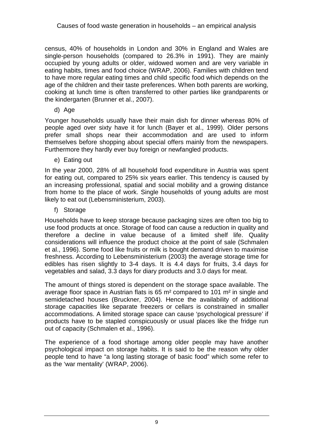census, 40% of households in London and 30% in England and Wales are single-person households (compared to 26.3% in 1991). They are mainly occupied by young adults or older, widowed women and are very variable in eating habits, times and food choice (WRAP, 2006). Families with children tend to have more regular eating times and child specific food which depends on the age of the children and their taste preferences. When both parents are working, cooking at lunch time is often transferred to other parties like grandparents or the kindergarten (Brunner et al., 2007).

d) Age

Younger households usually have their main dish for dinner whereas 80% of people aged over sixty have it for lunch (Bayer et al., 1999). Older persons prefer small shops near their accommodation and are used to inform themselves before shopping about special offers mainly from the newspapers. Furthermore they hardly ever buy foreign or newfangled products.

e) Eating out

In the year 2000, 28% of all household food expenditure in Austria was spent for eating out, compared to 25% six years earlier. This tendency is caused by an increasing professional, spatial and social mobility and a growing distance from home to the place of work. Single households of young adults are most likely to eat out (Lebensministerium, 2003).

f) Storage

Households have to keep storage because packaging sizes are often too big to use food products at once. Storage of food can cause a reduction in quality and therefore a decline in value because of a limited shelf life. Quality considerations will influence the product choice at the point of sale (Schmalen et al., 1996). Some food like fruits or milk is bought demand driven to maximise freshness. According to Lebensministerium (2003) the average storage time for edibles has risen slightly to 3-4 days. It is 4.4 days for fruits, 3.4 days for vegetables and salad, 3.3 days for diary products and 3.0 days for meat.

The amount of things stored is dependent on the storage space available. The average floor space in Austrian flats is 65  $m<sup>2</sup>$  compared to 101  $m<sup>2</sup>$  in single and semidetached houses (Bruckner, 2004). Hence the availability of additional storage capacities like separate freezers or cellars is constrained in smaller accommodations. A limited storage space can cause 'psychological pressure' if products have to be stapled conspicuously or usual places like the fridge run out of capacity (Schmalen et al., 1996).

The experience of a food shortage among older people may have another psychological impact on storage habits. It is said to be the reason why older people tend to have "a long lasting storage of basic food" which some refer to as the 'war mentality' (WRAP, 2006).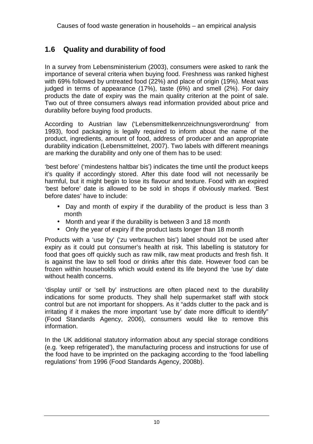#### **1.6 Quality and durability of food**

In a survey from Lebensministerium (2003), consumers were asked to rank the importance of several criteria when buying food. Freshness was ranked highest with 69% followed by untreated food (22%) and place of origin (19%). Meat was judged in terms of appearance (17%), taste (6%) and smell (2%). For dairy products the date of expiry was the main quality criterion at the point of sale. Two out of three consumers always read information provided about price and durability before buying food products.

According to Austrian law ('Lebensmittelkennzeichnungsverordnung' from 1993), food packaging is legally required to inform about the name of the product, ingredients, amount of food, address of producer and an appropriate durability indication (Lebensmittelnet, 2007). Two labels with different meanings are marking the durability and only one of them has to be used:

'best before' ('mindestens haltbar bis') indicates the time until the product keeps it's quality if accordingly stored. After this date food will not necessarily be harmful, but it might begin to lose its flavour and texture. Food with an expired 'best before' date is allowed to be sold in shops if obviously marked. 'Best before dates' have to include:

- Day and month of expiry if the durability of the product is less than 3 month
- Month and year if the durability is between 3 and 18 month
- Only the year of expiry if the product lasts longer than 18 month

Products with a 'use by' ('zu verbrauchen bis') label should not be used after expiry as it could put consumer's health at risk. This labelling is statutory for food that goes off quickly such as raw milk, raw meat products and fresh fish. It is against the law to sell food or drinks after this date. However food can be frozen within households which would extend its life beyond the 'use by' date without health concerns.

'display until' or 'sell by' instructions are often placed next to the durability indications for some products. They shall help supermarket staff with stock control but are not important for shoppers. As it "adds clutter to the pack and is irritating if it makes the more important 'use by' date more difficult to identify" (Food Standards Agency, 2006), consumers would like to remove this information.

In the UK additional statutory information about any special storage conditions (e.g. 'keep refrigerated'), the manufacturing process and instructions for use of the food have to be imprinted on the packaging according to the 'food labelling regulations' from 1996 (Food Standards Agency, 2008b).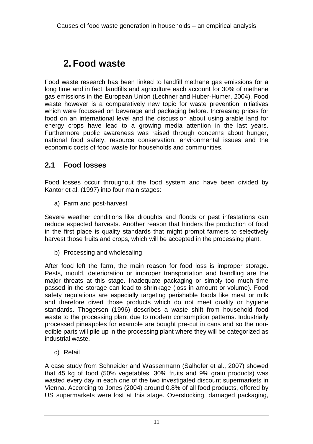### **2. Food waste**

Food waste research has been linked to landfill methane gas emissions for a long time and in fact, landfills and agriculture each account for 30% of methane gas emissions in the European Union (Lechner and Huber-Humer, 2004). Food waste however is a comparatively new topic for waste prevention initiatives which were focussed on beverage and packaging before. Increasing prices for food on an international level and the discussion about using arable land for energy crops have lead to a growing media attention in the last years. Furthermore public awareness was raised through concerns about hunger, national food safety, resource conservation, environmental issues and the economic costs of food waste for households and communities.

#### **2.1 Food losses**

Food losses occur throughout the food system and have been divided by Kantor et al. (1997) into four main stages:

a) Farm and post-harvest

Severe weather conditions like droughts and floods or pest infestations can reduce expected harvests. Another reason that hinders the production of food in the first place is quality standards that might prompt farmers to selectively harvest those fruits and crops, which will be accepted in the processing plant.

b) Processing and wholesaling

After food left the farm, the main reason for food loss is improper storage. Pests, mould, deterioration or improper transportation and handling are the major threats at this stage. Inadequate packaging or simply too much time passed in the storage can lead to shrinkage (loss in amount or volume). Food safety regulations are especially targeting perishable foods like meat or milk and therefore divert those products which do not meet quality or hygiene standards. Thogersen (1996) describes a waste shift from household food waste to the processing plant due to modern consumption patterns. Industrially processed pineapples for example are bought pre-cut in cans and so the nonedible parts will pile up in the processing plant where they will be categorized as industrial waste.

c) Retail

A case study from Schneider and Wassermann (Salhofer et al., 2007) showed that 45 kg of food (50% vegetables, 30% fruits and 9% grain products) was wasted every day in each one of the two investigated discount supermarkets in Vienna. According to Jones (2004) around 0.8% of all food products, offered by US supermarkets were lost at this stage. Overstocking, damaged packaging,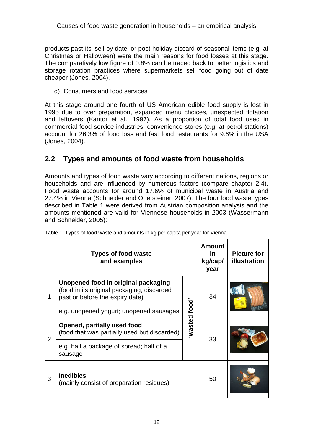products past its 'sell by date' or post holiday discard of seasonal items (e.g. at Christmas or Halloween) were the main reasons for food losses at this stage. The comparatively low figure of 0.8% can be traced back to better logistics and storage rotation practices where supermarkets sell food going out of date cheaper (Jones, 2004).

d) Consumers and food services

At this stage around one fourth of US American edible food supply is lost in 1995 due to over preparation, expanded menu choices, unexpected flotation and leftovers (Kantor et al., 1997). As a proportion of total food used in commercial food service industries, convenience stores (e.g. at petrol stations) account for 26.3% of food loss and fast food restaurants for 9.6% in the USA (Jones, 2004).

#### **2.2 Types and amounts of food waste from households**

Amounts and types of food waste vary according to different nations, regions or households and are influenced by numerous factors (compare chapter 2.4). Food waste accounts for around 17.6% of municipal waste in Austria and 27.4% in Vienna (Schneider and Obersteiner, 2007). The four food waste types described in Table 1 were derived from Austrian composition analysis and the amounts mentioned are valid for Viennese households in 2003 (Wassermann and Schneider, 2005):

|   | <b>Types of food waste</b><br>and examples                                                                           |              | <b>Amount</b><br><u>in</u><br>kg/cap/<br>year | <b>Picture for</b><br>illustration |
|---|----------------------------------------------------------------------------------------------------------------------|--------------|-----------------------------------------------|------------------------------------|
| 1 | Unopened food in original packaging<br>(food in its original packaging, discarded<br>past or before the expiry date) | wasted food' | 34                                            |                                    |
|   | e.g. unopened yogurt; unopened sausages                                                                              |              |                                               |                                    |
| 2 | Opened, partially used food<br>(food that was partially used but discarded)                                          |              | 33                                            |                                    |
|   | e.g. half a package of spread; half of a<br>sausage                                                                  |              |                                               |                                    |
| 3 | <b>Inedibles</b><br>(mainly consist of preparation residues)                                                         |              | 50                                            |                                    |

Table 1: Types of food waste and amounts in kg per capita per year for Vienna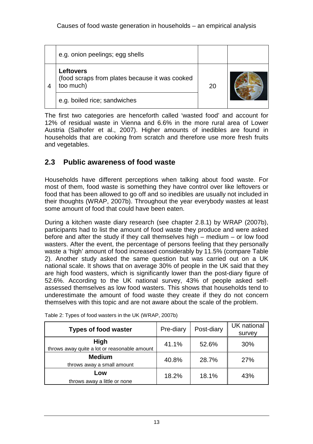| e.g. onion peelings; egg shells                                                 |    |  |
|---------------------------------------------------------------------------------|----|--|
| <b>Leftovers</b><br>(food scraps from plates because it was cooked<br>too much) | 20 |  |
| e.g. boiled rice; sandwiches                                                    |    |  |

The first two categories are henceforth called 'wasted food' and account for 12% of residual waste in Vienna and 6.6% in the more rural area of Lower Austria (Salhofer et al., 2007). Higher amounts of inedibles are found in households that are cooking from scratch and therefore use more fresh fruits and vegetables.

#### **2.3 Public awareness of food waste**

Households have different perceptions when talking about food waste. For most of them, food waste is something they have control over like leftovers or food that has been allowed to go off and so inedibles are usually not included in their thoughts (WRAP, 2007b). Throughout the year everybody wastes at least some amount of food that could have been eaten.

During a kitchen waste diary research (see chapter 2.8.1) by WRAP (2007b), participants had to list the amount of food waste they produce and were asked before and after the study if they call themselves high – medium – or low food wasters. After the event, the percentage of persons feeling that they personally waste a 'high' amount of food increased considerably by 11.5% (compare Table 2). Another study asked the same question but was carried out on a UK national scale. It shows that on average 30% of people in the UK said that they are high food wasters, which is significantly lower than the post-diary figure of 52.6%. According to the UK national survey, 43% of people asked selfassessed themselves as low food wasters. This shows that households tend to underestimate the amount of food waste they create if they do not concern themselves with this topic and are not aware about the scale of the problem.

| <b>Types of food waster</b>                                 | Pre-diary | Post-diary | UK national<br>survey |
|-------------------------------------------------------------|-----------|------------|-----------------------|
| <b>High</b><br>throws away quite a lot or reasonable amount | 41.1%     | 52.6%      | 30%                   |
| <b>Medium</b><br>throws away a small amount                 | 40.8%     | 28.7%      | 27%                   |
| Low<br>throws away a little or none                         | 18.2%     | 18.1%      | 43%                   |

Table 2: Types of food wasters in the UK (WRAP, 2007b)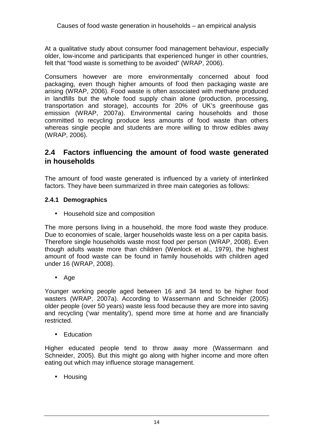At a qualitative study about consumer food management behaviour, especially older, low-income and participants that experienced hunger in other countries, felt that "food waste is something to be avoided" (WRAP, 2006).

Consumers however are more environmentally concerned about food packaging, even though higher amounts of food then packaging waste are arising (WRAP, 2006). Food waste is often associated with methane produced in landfills but the whole food supply chain alone (production, processing, transportation and storage), accounts for 20% of UK's greenhouse gas emission (WRAP, 2007a). Environmental caring households and those committed to recycling produce less amounts of food waste than others whereas single people and students are more willing to throw edibles away (WRAP, 2006).

#### **2.4 Factors influencing the amount of food waste generated in households**

The amount of food waste generated is influenced by a variety of interlinked factors. They have been summarized in three main categories as follows:

#### **2.4.1 Demographics**

• Household size and composition

The more persons living in a household, the more food waste they produce. Due to economies of scale, larger households waste less on a per capita basis. Therefore single households waste most food per person (WRAP, 2008). Even though adults waste more than children (Wenlock et al., 1979), the highest amount of food waste can be found in family households with children aged under 16 (WRAP, 2008).

• Age

Younger working people aged between 16 and 34 tend to be higher food wasters (WRAP, 2007a). According to Wassermann and Schneider (2005) older people (over 50 years) waste less food because they are more into saving and recycling ('war mentality'), spend more time at home and are financially restricted.

• Education

Higher educated people tend to throw away more (Wassermann and Schneider, 2005). But this might go along with higher income and more often eating out which may influence storage management.

• Housing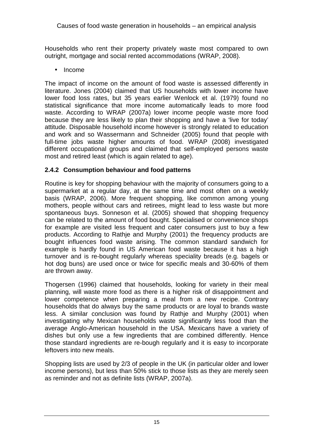Households who rent their property privately waste most compared to own outright, mortgage and social rented accommodations (WRAP, 2008).

• Income

The impact of income on the amount of food waste is assessed differently in literature. Jones (2004) claimed that US households with lower income have lower food loss rates, but 35 years earlier Wenlock et al. (1979) found no statistical significance that more income automatically leads to more food waste. According to WRAP (2007a) lower income people waste more food because they are less likely to plan their shopping and have a 'live for today' attitude. Disposable household income however is strongly related to education and work and so Wassermann and Schneider (2005) found that people with full-time jobs waste higher amounts of food. WRAP (2008) investigated different occupational groups and claimed that self-employed persons waste most and retired least (which is again related to age).

#### **2.4.2 Consumption behaviour and food patterns**

Routine is key for shopping behaviour with the majority of consumers going to a supermarket at a regular day, at the same time and most often on a weekly basis (WRAP, 2006). More frequent shopping, like common among young mothers, people without cars and retirees, might lead to less waste but more spontaneous buys. Sonneson et al. (2005) showed that shopping frequency can be related to the amount of food bought. Specialised or convenience shops for example are visited less frequent and cater consumers just to buy a few products. According to Rathje and Murphy (2001) the frequency products are bought influences food waste arising. The common standard sandwich for example is hardly found in US American food waste because it has a high turnover and is re-bought regularly whereas speciality breads (e.g. bagels or hot dog buns) are used once or twice for specific meals and 30-60% of them are thrown away.

Thogersen (1996) claimed that households, looking for variety in their meal planning, will waste more food as there is a higher risk of disappointment and lower competence when preparing a meal from a new recipe. Contrary households that do always buy the same products or are loyal to brands waste less. A similar conclusion was found by Rathje and Murphy (2001) when investigating why Mexican households waste significantly less food than the average Anglo-American household in the USA. Mexicans have a variety of dishes but only use a few ingredients that are combined differently. Hence those standard ingredients are re-bough regularly and it is easy to incorporate leftovers into new meals.

Shopping lists are used by 2/3 of people in the UK (in particular older and lower income persons), but less than 50% stick to those lists as they are merely seen as reminder and not as definite lists (WRAP, 2007a).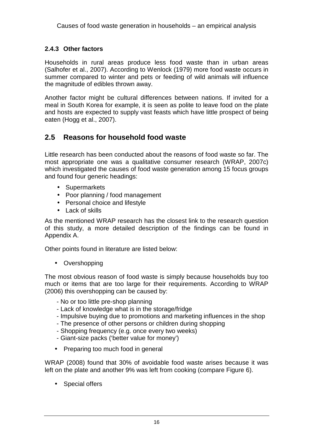#### **2.4.3 Other factors**

Households in rural areas produce less food waste than in urban areas (Salhofer et al., 2007). According to Wenlock (1979) more food waste occurs in summer compared to winter and pets or feeding of wild animals will influence the magnitude of edibles thrown away.

Another factor might be cultural differences between nations. If invited for a meal in South Korea for example, it is seen as polite to leave food on the plate and hosts are expected to supply vast feasts which have little prospect of being eaten (Hogg et al., 2007).

#### **2.5 Reasons for household food waste**

Little research has been conducted about the reasons of food waste so far. The most appropriate one was a qualitative consumer research (WRAP, 2007c) which investigated the causes of food waste generation among 15 focus groups and found four generic headings:

- Supermarkets
- Poor planning / food management
- Personal choice and lifestyle
- Lack of skills

As the mentioned WRAP research has the closest link to the research question of this study, a more detailed description of the findings can be found in Appendix A.

Other points found in literature are listed below:

• Overshopping

The most obvious reason of food waste is simply because households buy too much or items that are too large for their requirements. According to WRAP (2006) this overshopping can be caused by:

- No or too little pre-shop planning
- Lack of knowledge what is in the storage/fridge
- Impulsive buying due to promotions and marketing influences in the shop
- The presence of other persons or children during shopping
- Shopping frequency (e.g. once every two weeks)
- Giant-size packs ('better value for money')
- Preparing too much food in general

WRAP (2008) found that 30% of avoidable food waste arises because it was left on the plate and another 9% was left from cooking (compare Figure 6).

• Special offers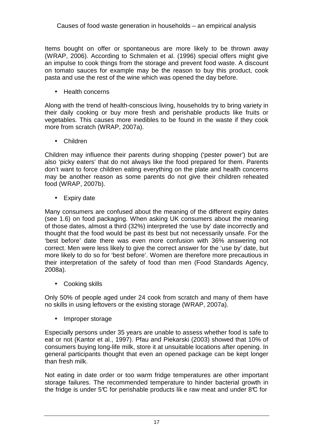Items bought on offer or spontaneous are more likely to be thrown away (WRAP, 2006). According to Schmalen et al. (1996) special offers might give an impulse to cook things from the storage and prevent food waste. A discount on tomato sauces for example may be the reason to buy this product, cook pasta and use the rest of the wine which was opened the day before.

• Health concerns

Along with the trend of health-conscious living, households try to bring variety in their daily cooking or buy more fresh and perishable products like fruits or vegetables. This causes more inedibles to be found in the waste if they cook more from scratch (WRAP, 2007a).

• Children

Children may influence their parents during shopping ('pester power') but are also 'picky eaters' that do not always like the food prepared for them. Parents don't want to force children eating everything on the plate and health concerns may be another reason as some parents do not give their children reheated food (WRAP, 2007b).

• Expiry date

Many consumers are confused about the meaning of the different expiry dates (see 1.6) on food packaging. When asking UK consumers about the meaning of those dates, almost a third (32%) interpreted the 'use by' date incorrectly and thought that the food would be past its best but not necessarily unsafe. For the 'best before' date there was even more confusion with 36% answering not correct. Men were less likely to give the correct answer for the 'use by' date, but more likely to do so for 'best before'. Women are therefore more precautious in their interpretation of the safety of food than men (Food Standards Agency, 2008a).

• Cooking skills

Only 50% of people aged under 24 cook from scratch and many of them have no skills in using leftovers or the existing storage (WRAP, 2007a).

• Improper storage

Especially persons under 35 years are unable to assess whether food is safe to eat or not (Kantor et al., 1997). Pfau and Piekarski (2003) showed that 10% of consumers buying long-life milk, store it at unsuitable locations after opening. In general participants thought that even an opened package can be kept longer than fresh milk.

Not eating in date order or too warm fridge temperatures are other important storage failures. The recommended temperature to hinder bacterial growth in the fridge is under 5 $\mathbb C$  for perishable products lik e raw meat and under 8 $\mathbb C$  for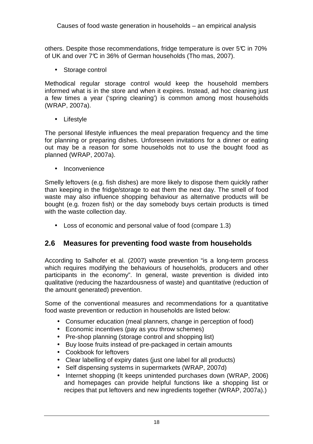others. Despite those recommendations, fridge temperature is over 5°C in 70% of UK and over 7°C in 36% of German households (Tho mas, 2007).

• Storage control

Methodical regular storage control would keep the household members informed what is in the store and when it expires. Instead, ad hoc cleaning just a few times a year ('spring cleaning') is common among most households (WRAP, 2007a).

• Lifestyle

The personal lifestyle influences the meal preparation frequency and the time for planning or preparing dishes. Unforeseen invitations for a dinner or eating out may be a reason for some households not to use the bought food as planned (WRAP, 2007a).

• Inconvenience

Smelly leftovers (e.g. fish dishes) are more likely to dispose them quickly rather than keeping in the fridge/storage to eat them the next day. The smell of food waste may also influence shopping behaviour as alternative products will be bought (e.g. frozen fish) or the day somebody buys certain products is timed with the waste collection day.

• Loss of economic and personal value of food (compare 1.3)

#### **2.6 Measures for preventing food waste from households**

According to Salhofer et al. (2007) waste prevention "is a long-term process which requires modifying the behaviours of households, producers and other participants in the economy". In general, waste prevention is divided into qualitative (reducing the hazardousness of waste) and quantitative (reduction of the amount generated) prevention.

Some of the conventional measures and recommendations for a quantitative food waste prevention or reduction in households are listed below:

- Consumer education (meal planners, change in perception of food)
- Economic incentives (pay as you throw schemes)
- Pre-shop planning (storage control and shopping list)
- Buy loose fruits instead of pre-packaged in certain amounts
- Cookbook for leftovers
- Clear labelling of expiry dates (just one label for all products)
- Self dispensing systems in supermarkets (WRAP, 2007d)
- Internet shopping (It keeps unintended purchases down (WRAP, 2006) and homepages can provide helpful functions like a shopping list or recipes that put leftovers and new ingredients together (WRAP, 2007a).)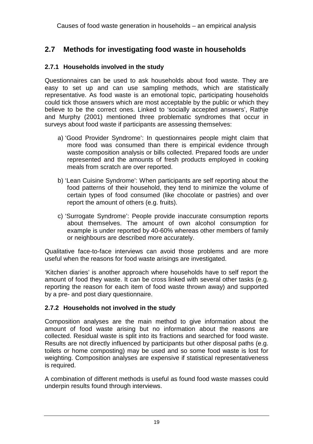#### **2.7 Methods for investigating food waste in households**

#### **2.7.1 Households involved in the study**

Questionnaires can be used to ask households about food waste. They are easy to set up and can use sampling methods, which are statistically representative. As food waste is an emotional topic, participating households could tick those answers which are most acceptable by the public or which they believe to be the correct ones. Linked to 'socially accepted answers', Rathje and Murphy (2001) mentioned three problematic syndromes that occur in surveys about food waste if participants are assessing themselves:

- a) 'Good Provider Syndrome': In questionnaires people might claim that more food was consumed than there is empirical evidence through waste composition analysis or bills collected. Prepared foods are under represented and the amounts of fresh products employed in cooking meals from scratch are over reported.
- b) 'Lean Cuisine Syndrome': When participants are self reporting about the food patterns of their household, they tend to minimize the volume of certain types of food consumed (like chocolate or pastries) and over report the amount of others (e.g. fruits).
- c) 'Surrogate Syndrome': People provide inaccurate consumption reports about themselves. The amount of own alcohol consumption for example is under reported by 40-60% whereas other members of family or neighbours are described more accurately.

Qualitative face-to-face interviews can avoid those problems and are more useful when the reasons for food waste arisings are investigated.

'Kitchen diaries' is another approach where households have to self report the amount of food they waste. It can be cross linked with several other tasks (e.g. reporting the reason for each item of food waste thrown away) and supported by a pre- and post diary questionnaire.

#### **2.7.2 Households not involved in the study**

Composition analyses are the main method to give information about the amount of food waste arising but no information about the reasons are collected. Residual waste is split into its fractions and searched for food waste. Results are not directly influenced by participants but other disposal paths (e.g. toilets or home composting) may be used and so some food waste is lost for weighting. Composition analyses are expensive if statistical representativeness is required.

A combination of different methods is useful as found food waste masses could underpin results found through interviews.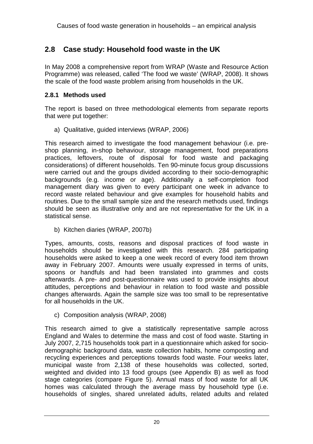#### **2.8 Case study: Household food waste in the UK**

In May 2008 a comprehensive report from WRAP (Waste and Resource Action Programme) was released, called 'The food we waste' (WRAP, 2008). It shows the scale of the food waste problem arising from households in the UK.

#### **2.8.1 Methods used**

The report is based on three methodological elements from separate reports that were put together:

a) Qualitative, guided interviews (WRAP, 2006)

This research aimed to investigate the food management behaviour (i.e. preshop planning, in-shop behaviour, storage management, food preparations practices, leftovers, route of disposal for food waste and packaging considerations) of different households. Ten 90-minute focus group discussions were carried out and the groups divided according to their socio-demographic backgrounds (e.g. income or age). Additionally a self-completion food management diary was given to every participant one week in advance to record waste related behaviour and give examples for household habits and routines. Due to the small sample size and the research methods used, findings should be seen as illustrative only and are not representative for the UK in a statistical sense.

b) Kitchen diaries (WRAP, 2007b)

Types, amounts, costs, reasons and disposal practices of food waste in households should be investigated with this research. 284 participating households were asked to keep a one week record of every food item thrown away in February 2007. Amounts were usually expressed in terms of units, spoons or handfuls and had been translated into grammes and costs afterwards. A pre- and post-questionnaire was used to provide insights about attitudes, perceptions and behaviour in relation to food waste and possible changes afterwards. Again the sample size was too small to be representative for all households in the UK.

c) Composition analysis (WRAP, 2008)

This research aimed to give a statistically representative sample across England and Wales to determine the mass and cost of food waste. Starting in July 2007, 2,715 households took part in a questionnaire which asked for sociodemographic background data, waste collection habits, home composting and recycling experiences and perceptions towards food waste. Four weeks later, municipal waste from 2,138 of these households was collected, sorted, weighted and divided into 13 food groups (see Appendix B) as well as food stage categories (compare Figure 5). Annual mass of food waste for all UK homes was calculated through the average mass by household type (i.e. households of singles, shared unrelated adults, related adults and related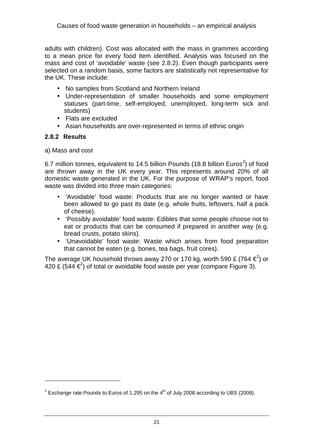adults with children). Cost was allocated with the mass in grammes according to a mean price for every food item identified. Analysis was focused on the mass and cost of 'avoidable' waste (see 2.8.2). Even though participants were selected on a random basis, some factors are statistically not representative for the UK. These include:

- No samples from Scotland and Northern Ireland
- Under-representation of smaller households and some employment statuses (part-time, self-employed, unemployed, long-term sick and students)
- Flats are excluded
- Asian households are over-represented in terms of ethnic origin

#### **2.8.2 Results**

l

a) Mass and cost

6.7 million tonnes, equivalent to 14.5 billion Pounds (18.8 billion Euros<sup>2</sup>) of food are thrown away in the UK every year. This represents around 20% of all domestic waste generated in the UK. For the purpose of WRAP's report, food waste was divided into three main categories:

- 'Avoidable' food waste: Products that are no longer wanted or have been allowed to go past its date (e.g. whole fruits, leftovers, half a pack of cheese).
- 'Possibly avoidable' food waste: Edibles that some people choose not to eat or products that can be consumed if prepared in another way (e.g. bread crusts, potato skins).
- 'Unavoidable' food waste: Waste which arises from food preparation that cannot be eaten (e.g. bones, tea bags, fruit cores).

The average UK household throws away 270 or 170 kg, worth 590 £ (764  $\epsilon^2$ ) or 420 £ (544  $\epsilon^2$ ) of total or avoidable food waste per year (compare Figure 3).

<sup>&</sup>lt;sup>2</sup> Exchange rate Pounds to Euros of 1.295 on the  $4<sup>th</sup>$  of July 2008 according to UBS (2008).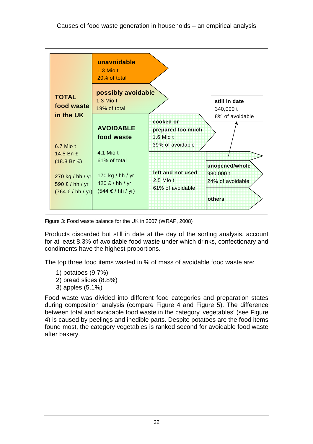

Figure 3: Food waste balance for the UK in 2007 (WRAP, 2008)

Products discarded but still in date at the day of the sorting analysis, account for at least 8.3% of avoidable food waste under which drinks, confectionary and condiments have the highest proportions.

The top three food items wasted in % of mass of avoidable food waste are:

- 1) potatoes (9.7%)
- 2) bread slices (8.8%)
- 3) apples (5.1%)

Food waste was divided into different food categories and preparation states during composition analysis (compare Figure 4 and Figure 5). The difference between total and avoidable food waste in the category 'vegetables' (see Figure 4) is caused by peelings and inedible parts. Despite potatoes are the food items found most, the category vegetables is ranked second for avoidable food waste after bakery.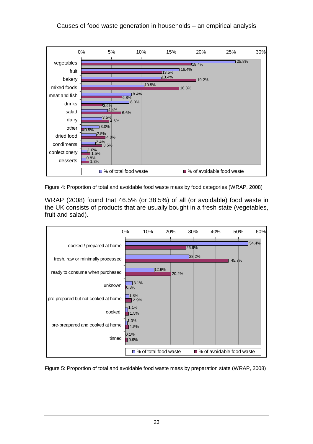

Figure 4: Proportion of total and avoidable food waste mass by food categories (WRAP, 2008)

WRAP (2008) found that 46.5% (or 38.5%) of all (or avoidable) food waste in the UK consists of products that are usually bought in a fresh state (vegetables, fruit and salad).



Figure 5: Proportion of total and avoidable food waste mass by preparation state (WRAP, 2008)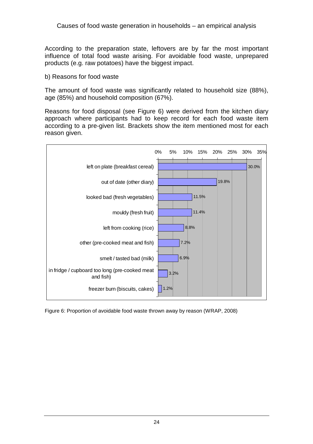According to the preparation state, leftovers are by far the most important influence of total food waste arising. For avoidable food waste, unprepared products (e.g. raw potatoes) have the biggest impact.

b) Reasons for food waste

The amount of food waste was significantly related to household size (88%), age (85%) and household composition (67%).

Reasons for food disposal (see Figure 6) were derived from the kitchen diary approach where participants had to keep record for each food waste item according to a pre-given list. Brackets show the item mentioned most for each reason given.



Figure 6: Proportion of avoidable food waste thrown away by reason (WRAP, 2008)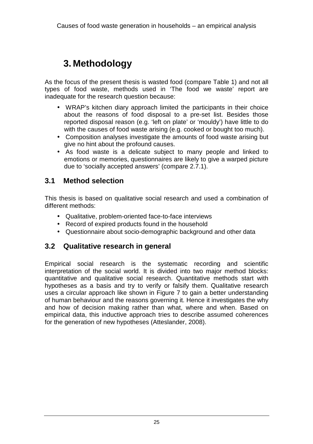### **3. Methodology**

As the focus of the present thesis is wasted food (compare Table 1) and not all types of food waste, methods used in 'The food we waste' report are inadequate for the research question because:

- WRAP's kitchen diary approach limited the participants in their choice about the reasons of food disposal to a pre-set list. Besides those reported disposal reason (e.g. 'left on plate' or 'mouldy') have little to do with the causes of food waste arising (e.g. cooked or bought too much).
- Composition analyses investigate the amounts of food waste arising but give no hint about the profound causes.
- As food waste is a delicate subject to many people and linked to emotions or memories, questionnaires are likely to give a warped picture due to 'socially accepted answers' (compare 2.7.1).

#### **3.1 Method selection**

This thesis is based on qualitative social research and used a combination of different methods:

- Qualitative, problem-oriented face-to-face interviews
- Record of expired products found in the household
- Questionnaire about socio-demographic background and other data

#### **3.2 Qualitative research in general**

Empirical social research is the systematic recording and scientific interpretation of the social world. It is divided into two major method blocks: quantitative and qualitative social research. Quantitative methods start with hypotheses as a basis and try to verify or falsify them. Qualitative research uses a circular approach like shown in Figure 7 to gain a better understanding of human behaviour and the reasons governing it. Hence it investigates the why and how of decision making rather than what, where and when. Based on empirical data, this inductive approach tries to describe assumed coherences for the generation of new hypotheses (Atteslander, 2008).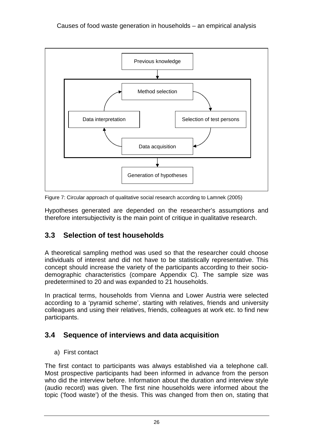

Figure 7: Circular approach of qualitative social research according to Lamnek (2005)

Hypotheses generated are depended on the researcher's assumptions and therefore intersubjectivity is the main point of critique in qualitative research.

#### **3.3 Selection of test households**

A theoretical sampling method was used so that the researcher could choose individuals of interest and did not have to be statistically representative. This concept should increase the variety of the participants according to their sociodemographic characteristics (compare Appendix C). The sample size was predetermined to 20 and was expanded to 21 households.

In practical terms, households from Vienna and Lower Austria were selected according to a 'pyramid scheme', starting with relatives, friends and university colleagues and using their relatives, friends, colleagues at work etc. to find new participants.

#### **3.4 Sequence of interviews and data acquisition**

a) First contact

The first contact to participants was always established via a telephone call. Most prospective participants had been informed in advance from the person who did the interview before. Information about the duration and interview style (audio record) was given. The first nine households were informed about the topic ('food waste') of the thesis. This was changed from then on, stating that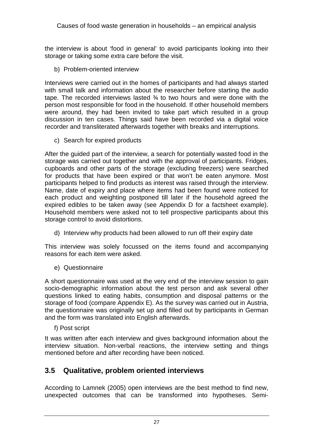the interview is about 'food in general' to avoid participants looking into their storage or taking some extra care before the visit.

b) Problem-oriented interview

Interviews were carried out in the homes of participants and had always started with small talk and information about the researcher before starting the audio tape. The recorded interviews lasted ¾ to two hours and were done with the person most responsible for food in the household. If other household members were around, they had been invited to take part which resulted in a group discussion in ten cases. Things said have been recorded via a digital voice recorder and transliterated afterwards together with breaks and interruptions.

c) Search for expired products

After the guided part of the interview, a search for potentially wasted food in the storage was carried out together and with the approval of participants. Fridges, cupboards and other parts of the storage (excluding freezers) were searched for products that have been expired or that won't be eaten anymore. Most participants helped to find products as interest was raised through the interview. Name, date of expiry and place where items had been found were noticed for each product and weighting postponed till later if the household agreed the expired edibles to be taken away (see Appendix D for a factsheet example). Household members were asked not to tell prospective participants about this storage control to avoid distortions.

d) Interview why products had been allowed to run off their expiry date

This interview was solely focussed on the items found and accompanying reasons for each item were asked.

e) Questionnaire

A short questionnaire was used at the very end of the interview session to gain socio-demographic information about the test person and ask several other questions linked to eating habits, consumption and disposal patterns or the storage of food (compare Appendix E). As the survey was carried out in Austria, the questionnaire was originally set up and filled out by participants in German and the form was translated into English afterwards.

f) Post script

It was written after each interview and gives background information about the interview situation. Non-verbal reactions, the interview setting and things mentioned before and after recording have been noticed.

#### **3.5 Qualitative, problem oriented interviews**

According to Lamnek (2005) open interviews are the best method to find new, unexpected outcomes that can be transformed into hypotheses. Semi-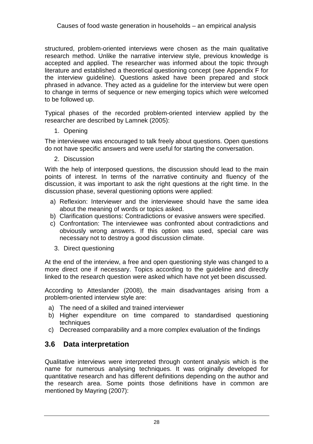structured, problem-oriented interviews were chosen as the main qualitative research method. Unlike the narrative interview style, previous knowledge is accepted and applied. The researcher was informed about the topic through literature and established a theoretical questioning concept (see Appendix F for the interview guideline). Questions asked have been prepared and stock phrased in advance. They acted as a guideline for the interview but were open to change in terms of sequence or new emerging topics which were welcomed to be followed up.

Typical phases of the recorded problem-oriented interview applied by the researcher are described by Lamnek (2005):

1. Opening

The interviewee was encouraged to talk freely about questions. Open questions do not have specific answers and were useful for starting the conversation.

2. Discussion

With the help of interposed questions, the discussion should lead to the main points of interest. In terms of the narrative continuity and fluency of the discussion, it was important to ask the right questions at the right time. In the discussion phase, several questioning options were applied:

- a) Reflexion: Interviewer and the interviewee should have the same idea about the meaning of words or topics asked.
- b) Clarification questions: Contradictions or evasive answers were specified.
- c) Confrontation: The interviewee was confronted about contradictions and obviously wrong answers. If this option was used, special care was necessary not to destroy a good discussion climate.
	- 3. Direct questioning

At the end of the interview, a free and open questioning style was changed to a more direct one if necessary. Topics according to the guideline and directly linked to the research question were asked which have not yet been discussed.

According to Atteslander (2008), the main disadvantages arising from a problem-oriented interview style are:

- a) The need of a skilled and trained interviewer
- b) Higher expenditure on time compared to standardised questioning techniques
- c) Decreased comparability and a more complex evaluation of the findings

#### **3.6 Data interpretation**

Qualitative interviews were interpreted through content analysis which is the name for numerous analysing techniques. It was originally developed for quantitative research and has different definitions depending on the author and the research area. Some points those definitions have in common are mentioned by Mayring (2007):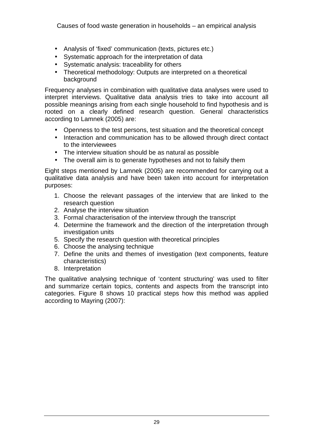Causes of food waste generation in households – an empirical analysis

- Analysis of 'fixed' communication (texts, pictures etc.)
- Systematic approach for the interpretation of data
- Systematic analysis: traceability for others
- Theoretical methodology: Outputs are interpreted on a theoretical background

Frequency analyses in combination with qualitative data analyses were used to interpret interviews. Qualitative data analysis tries to take into account all possible meanings arising from each single household to find hypothesis and is rooted on a clearly defined research question. General characteristics according to Lamnek (2005) are:

- Openness to the test persons, test situation and the theoretical concept
- Interaction and communication has to be allowed through direct contact to the interviewees
- The interview situation should be as natural as possible
- The overall aim is to generate hypotheses and not to falsify them

Eight steps mentioned by Lamnek (2005) are recommended for carrying out a qualitative data analysis and have been taken into account for interpretation purposes:

- 1. Choose the relevant passages of the interview that are linked to the research question
- 2. Analyse the interview situation
- 3. Formal characterisation of the interview through the transcript
- 4. Determine the framework and the direction of the interpretation through investigation units
- 5. Specify the research question with theoretical principles
- 6. Choose the analysing technique
- 7. Define the units and themes of investigation (text components, feature characteristics)
- 8. Interpretation

The qualitative analysing technique of 'content structuring' was used to filter and summarize certain topics, contents and aspects from the transcript into categories. Figure 8 shows 10 practical steps how this method was applied according to Mayring (2007):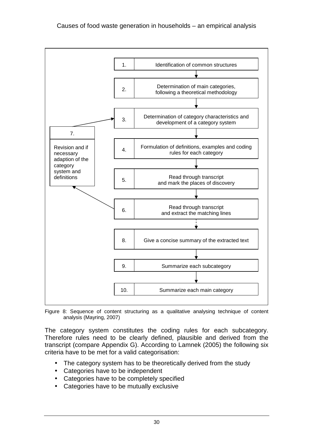

Figure 8: Sequence of content structuring as a qualitative analysing technique of content analysis (Mayring, 2007)

The category system constitutes the coding rules for each subcategory. Therefore rules need to be clearly defined, plausible and derived from the transcript (compare Appendix G). According to Lamnek (2005) the following six criteria have to be met for a valid categorisation:

- The category system has to be theoretically derived from the study
- Categories have to be independent
- Categories have to be completely specified
- Categories have to be mutually exclusive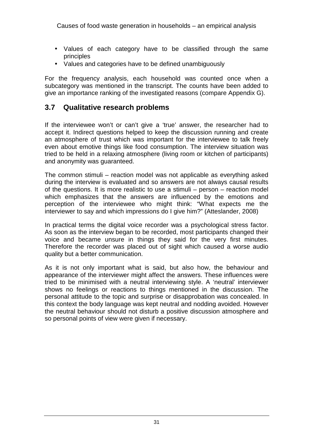- Values of each category have to be classified through the same principles
- Values and categories have to be defined unambiguously

For the frequency analysis, each household was counted once when a subcategory was mentioned in the transcript. The counts have been added to give an importance ranking of the investigated reasons (compare Appendix G).

#### **3.7 Qualitative research problems**

If the interviewee won't or can't give a 'true' answer, the researcher had to accept it. Indirect questions helped to keep the discussion running and create an atmosphere of trust which was important for the interviewee to talk freely even about emotive things like food consumption. The interview situation was tried to be held in a relaxing atmosphere (living room or kitchen of participants) and anonymity was guaranteed.

The common stimuli – reaction model was not applicable as everything asked during the interview is evaluated and so answers are not always causal results of the questions. It is more realistic to use a stimuli – person – reaction model which emphasizes that the answers are influenced by the emotions and perception of the interviewee who might think: "What expects me the interviewer to say and which impressions do I give him?" (Atteslander, 2008)

In practical terms the digital voice recorder was a psychological stress factor. As soon as the interview began to be recorded, most participants changed their voice and became unsure in things they said for the very first minutes. Therefore the recorder was placed out of sight which caused a worse audio quality but a better communication.

As it is not only important what is said, but also how, the behaviour and appearance of the interviewer might affect the answers. These influences were tried to be minimised with a neutral interviewing style. A 'neutral' interviewer shows no feelings or reactions to things mentioned in the discussion. The personal attitude to the topic and surprise or disapprobation was concealed. In this context the body language was kept neutral and nodding avoided. However the neutral behaviour should not disturb a positive discussion atmosphere and so personal points of view were given if necessary.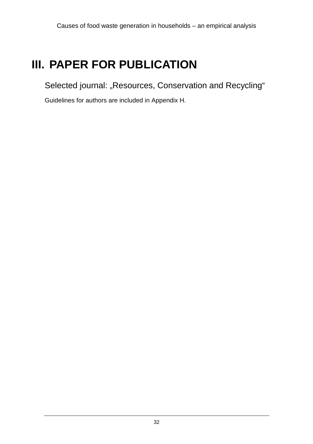# **III. PAPER FOR PUBLICATION**

Selected journal: "Resources, Conservation and Recycling"

Guidelines for authors are included in Appendix H.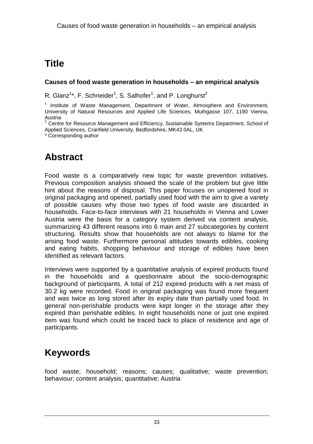# **Title**

#### **Causes of food waste generation in households – an empirical analysis**

R. Glanz<sup>1\*</sup>, F. Schneider<sup>1</sup>, S. Salhofer<sup>1</sup>, and P. Longhurst<sup>2</sup>

<sup>1</sup> Institute of Waste Management, Department of Water, Atmosphere and Environment, University of Natural Resources and Applied Life Sciences, Muthgasse 107, 1190 Vienna, Austria<br><sup>2</sup> Centre

 Centre for Resource Management and Efficiency, Sustainable Systems Department, School of Applied Sciences, Cranfield University, Bedfordshire, MK43 0AL, UK

\* Corresponding author

### **Abstract**

Food waste is a comparatively new topic for waste prevention initiatives. Previous composition analysis showed the scale of the problem but give little hint about the reasons of disposal. This paper focuses on unopened food in original packaging and opened, partially used food with the aim to give a variety of possible causes why those two types of food waste are discarded in households. Face-to-face interviews with 21 households in Vienna and Lower Austria were the basis for a category system derived via content analysis, summarizing 43 different reasons into 6 main and 27 subcategories by content structuring. Results show that households are not always to blame for the arising food waste. Furthermore personal attitudes towards edibles, cooking and eating habits, shopping behaviour and storage of edibles have been identified as relevant factors.

Interviews were supported by a quantitative analysis of expired products found in the households and a questionnaire about the socio-demographic background of participants. A total of 212 expired products with a net mass of 30.2 kg were recorded. Food in original packaging was found more frequent and was twice as long stored after its expiry date than partially used food. In general non-perishable products were kept longer in the storage after they expired than perishable edibles. In eight households none or just one expired item was found which could be traced back to place of residence and age of participants.

### **Keywords**

food waste; household; reasons; causes; qualitative; waste prevention; behaviour; content analysis; quantitative; Austria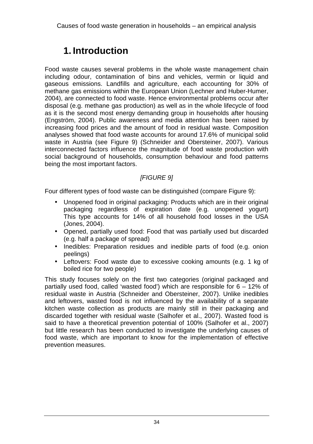### **1. Introduction**

Food waste causes several problems in the whole waste management chain including odour, contamination of bins and vehicles, vermin or liquid and gaseous emissions. Landfills and agriculture, each accounting for 30% of methane gas emissions within the European Union (Lechner and Huber-Humer, 2004), are connected to food waste. Hence environmental problems occur after disposal (e.g. methane gas production) as well as in the whole lifecycle of food as it is the second most energy demanding group in households after housing (Engström, 2004). Public awareness and media attention has been raised by increasing food prices and the amount of food in residual waste. Composition analyses showed that food waste accounts for around 17.6% of municipal solid waste in Austria (see Figure 9) (Schneider and Obersteiner, 2007). Various interconnected factors influence the magnitude of food waste production with social background of households, consumption behaviour and food patterns being the most important factors.

#### [FIGURE 9]

Four different types of food waste can be distinguished (compare Figure 9):

- Unopened food in original packaging: Products which are in their original packaging regardless of expiration date (e.g. unopened yogurt) This type accounts for 14% of all household food losses in the USA (Jones, 2004).
- Opened, partially used food: Food that was partially used but discarded (e.g. half a package of spread)
- Inedibles: Preparation residues and inedible parts of food (e.g. onion peelings)
- Leftovers: Food waste due to excessive cooking amounts (e.g. 1 kg of boiled rice for two people)

This study focuses solely on the first two categories (original packaged and partially used food, called 'wasted food') which are responsible for 6 – 12% of residual waste in Austria (Schneider and Obersteiner, 2007). Unlike inedibles and leftovers, wasted food is not influenced by the availability of a separate kitchen waste collection as products are mainly still in their packaging and discarded together with residual waste (Salhofer et al., 2007). Wasted food is said to have a theoretical prevention potential of 100% (Salhofer et al., 2007) but little research has been conducted to investigate the underlying causes of food waste, which are important to know for the implementation of effective prevention measures.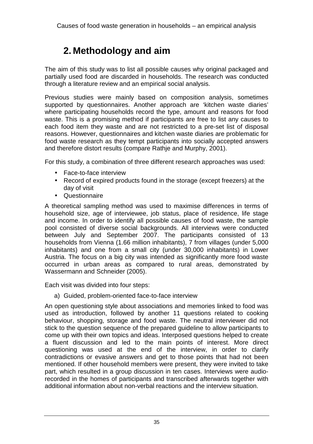### **2. Methodology and aim**

The aim of this study was to list all possible causes why original packaged and partially used food are discarded in households. The research was conducted through a literature review and an empirical social analysis.

Previous studies were mainly based on composition analysis, sometimes supported by questionnaires. Another approach are 'kitchen waste diaries' where participating households record the type, amount and reasons for food waste. This is a promising method if participants are free to list any causes to each food item they waste and are not restricted to a pre-set list of disposal reasons. However, questionnaires and kitchen waste diaries are problematic for food waste research as they tempt participants into socially accepted answers and therefore distort results (compare Rathje and Murphy, 2001).

For this study, a combination of three different research approaches was used:

- Face-to-face interview
- Record of expired products found in the storage (except freezers) at the day of visit
- Questionnaire

A theoretical sampling method was used to maximise differences in terms of household size, age of interviewee, job status, place of residence, life stage and income. In order to identify all possible causes of food waste, the sample pool consisted of diverse social backgrounds. All interviews were conducted between July and September 2007. The participants consisted of 13 households from Vienna (1.66 million inhabitants), 7 from villages (under 5,000 inhabitants) and one from a small city (under 30,000 inhabitants) in Lower Austria. The focus on a big city was intended as significantly more food waste occurred in urban areas as compared to rural areas, demonstrated by Wassermann and Schneider (2005).

Each visit was divided into four steps:

a) Guided, problem-oriented face-to-face interview

An open questioning style about associations and memories linked to food was used as introduction, followed by another 11 questions related to cooking behaviour, shopping, storage and food waste. The neutral interviewer did not stick to the question sequence of the prepared guideline to allow participants to come up with their own topics and ideas. Interposed questions helped to create a fluent discussion and led to the main points of interest. More direct questioning was used at the end of the interview, in order to clarify contradictions or evasive answers and get to those points that had not been mentioned. If other household members were present, they were invited to take part, which resulted in a group discussion in ten cases. Interviews were audiorecorded in the homes of participants and transcribed afterwards together with additional information about non-verbal reactions and the interview situation.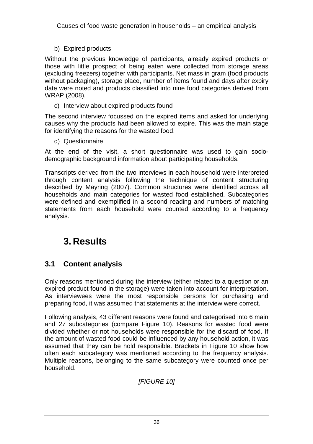b) Expired products

Without the previous knowledge of participants, already expired products or those with little prospect of being eaten were collected from storage areas (excluding freezers) together with participants. Net mass in gram (food products without packaging), storage place, number of items found and days after expiry date were noted and products classified into nine food categories derived from WRAP (2008).

c) Interview about expired products found

The second interview focussed on the expired items and asked for underlying causes why the products had been allowed to expire. This was the main stage for identifying the reasons for the wasted food.

d) Questionnaire

At the end of the visit, a short questionnaire was used to gain sociodemographic background information about participating households.

Transcripts derived from the two interviews in each household were interpreted through content analysis following the technique of content structuring described by Mayring (2007). Common structures were identified across all households and main categories for wasted food established. Subcategories were defined and exemplified in a second reading and numbers of matching statements from each household were counted according to a frequency analysis.

# **3. Results**

#### **3.1 Content analysis**

Only reasons mentioned during the interview (either related to a question or an expired product found in the storage) were taken into account for interpretation. As interviewees were the most responsible persons for purchasing and preparing food, it was assumed that statements at the interview were correct.

Following analysis, 43 different reasons were found and categorised into 6 main and 27 subcategories (compare Figure 10). Reasons for wasted food were divided whether or not households were responsible for the discard of food. If the amount of wasted food could be influenced by any household action, it was assumed that they can be hold responsible. Brackets in Figure 10 show how often each subcategory was mentioned according to the frequency analysis. Multiple reasons, belonging to the same subcategory were counted once per household.

**IFIGURE 101**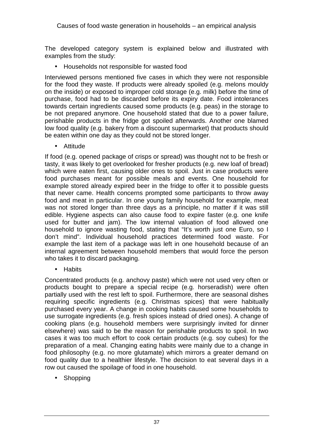The developed category system is explained below and illustrated with examples from the study:

• Households not responsible for wasted food

Interviewed persons mentioned five cases in which they were not responsible for the food they waste. If products were already spoiled (e.g. melons mouldy on the inside) or exposed to improper cold storage (e.g. milk) before the time of purchase, food had to be discarded before its expiry date. Food intolerances towards certain ingredients caused some products (e.g. peas) in the storage to be not prepared anymore. One household stated that due to a power failure, perishable products in the fridge got spoiled afterwards. Another one blamed low food quality (e.g. bakery from a discount supermarket) that products should be eaten within one day as they could not be stored longer.

• Attitude

If food (e.g. opened package of crisps or spread) was thought not to be fresh or tasty, it was likely to get overlooked for fresher products (e.g. new loaf of bread) which were eaten first, causing older ones to spoil. Just in case products were food purchases meant for possible meals and events. One household for example stored already expired beer in the fridge to offer it to possible guests that never came. Health concerns prompted some participants to throw away food and meat in particular. In one young family household for example, meat was not stored longer than three days as a principle, no matter if it was still edible. Hygiene aspects can also cause food to expire faster (e.g. one knife used for butter and jam). The low internal valuation of food allowed one household to ignore wasting food, stating that "It's worth just one Euro, so I don't mind". Individual household practices determined food waste. For example the last item of a package was left in one household because of an internal agreement between household members that would force the person who takes it to discard packaging.

• Habits

Concentrated products (e.g. anchovy paste) which were not used very often or products bought to prepare a special recipe (e.g. horseradish) were often partially used with the rest left to spoil. Furthermore, there are seasonal dishes requiring specific ingredients (e.g. Christmas spices) that were habitually purchased every year. A change in cooking habits caused some households to use surrogate ingredients (e.g. fresh spices instead of dried ones). A change of cooking plans (e.g. household members were surprisingly invited for dinner elsewhere) was said to be the reason for perishable products to spoil. In two cases it was too much effort to cook certain products (e.g. soy cubes) for the preparation of a meal. Changing eating habits were mainly due to a change in food philosophy (e.g. no more glutamate) which mirrors a greater demand on food quality due to a healthier lifestyle. The decision to eat several days in a row out caused the spoilage of food in one household.

• Shopping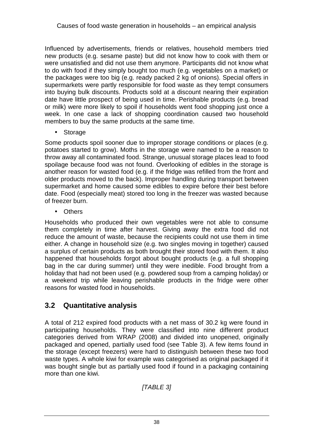Influenced by advertisements, friends or relatives, household members tried new products (e.g. sesame paste) but did not know how to cook with them or were unsatisfied and did not use them anymore. Participants did not know what to do with food if they simply bought too much (e.g. vegetables on a market) or the packages were too big (e.g. ready packed 2 kg of onions). Special offers in supermarkets were partly responsible for food waste as they tempt consumers into buying bulk discounts. Products sold at a discount nearing their expiration date have little prospect of being used in time. Perishable products (e.g. bread or milk) were more likely to spoil if households went food shopping just once a week. In one case a lack of shopping coordination caused two household members to buy the same products at the same time.

• Storage

Some products spoil sooner due to improper storage conditions or places (e.g. potatoes started to grow). Moths in the storage were named to be a reason to throw away all contaminated food. Strange, unusual storage places lead to food spoilage because food was not found. Overlooking of edibles in the storage is another reason for wasted food (e.g. if the fridge was refilled from the front and older products moved to the back). Improper handling during transport between supermarket and home caused some edibles to expire before their best before date. Food (especially meat) stored too long in the freezer was wasted because of freezer burn.

• Others

Households who produced their own vegetables were not able to consume them completely in time after harvest. Giving away the extra food did not reduce the amount of waste, because the recipients could not use them in time either. A change in household size (e.g. two singles moving in together) caused a surplus of certain products as both brought their stored food with them. It also happened that households forgot about bought products (e.g. a full shopping bag in the car during summer) until they were inedible. Food brought from a holiday that had not been used (e.g. powdered soup from a camping holiday) or a weekend trip while leaving perishable products in the fridge were other reasons for wasted food in households.

#### **3.2 Quantitative analysis**

A total of 212 expired food products with a net mass of 30.2 kg were found in participating households. They were classified into nine different product categories derived from WRAP (2008) and divided into unopened, originally packaged and opened, partially used food (see Table 3). A few items found in the storage (except freezers) were hard to distinguish between these two food waste types. A whole kiwi for example was categorised as original packaged if it was bought single but as partially used food if found in a packaging containing more than one kiwi.

[TABLE 3]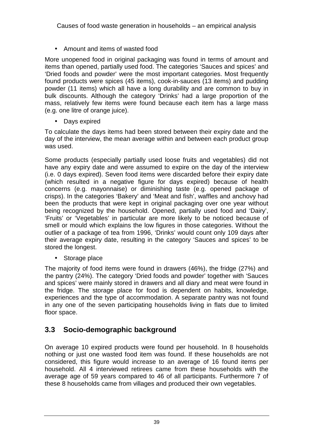• Amount and items of wasted food

More unopened food in original packaging was found in terms of amount and items than opened, partially used food. The categories 'Sauces and spices' and 'Dried foods and powder' were the most important categories. Most frequently found products were spices (45 items), cook-in-sauces (13 items) and pudding powder (11 items) which all have a long durability and are common to buy in bulk discounts. Although the category 'Drinks' had a large proportion of the mass, relatively few items were found because each item has a large mass (e.g. one litre of orange juice).

• Days expired

To calculate the days items had been stored between their expiry date and the day of the interview, the mean average within and between each product group was used.

Some products (especially partially used loose fruits and vegetables) did not have any expiry date and were assumed to expire on the day of the interview (i.e. 0 days expired). Seven food items were discarded before their expiry date (which resulted in a negative figure for days expired) because of health concerns (e.g. mayonnaise) or diminishing taste (e.g. opened package of crisps). In the categories 'Bakery' and 'Meat and fish', waffles and anchovy had been the products that were kept in original packaging over one year without being recognized by the household. Opened, partially used food and 'Dairy', 'Fruits' or 'Vegetables' in particular are more likely to be noticed because of smell or mould which explains the low figures in those categories. Without the outlier of a package of tea from 1996, 'Drinks' would count only 109 days after their average expiry date, resulting in the category 'Sauces and spices' to be stored the longest.

• Storage place

The majority of food items were found in drawers (46%), the fridge (27%) and the pantry (24%). The category 'Dried foods and powder' together with 'Sauces and spices' were mainly stored in drawers and all diary and meat were found in the fridge. The storage place for food is dependent on habits, knowledge, experiences and the type of accommodation. A separate pantry was not found in any one of the seven participating households living in flats due to limited floor space.

#### **3.3 Socio-demographic background**

On average 10 expired products were found per household. In 8 households nothing or just one wasted food item was found. If these households are not considered, this figure would increase to an average of 16 found items per household. All 4 interviewed retirees came from these households with the average age of 59 years compared to 46 of all participants. Furthermore 7 of these 8 households came from villages and produced their own vegetables.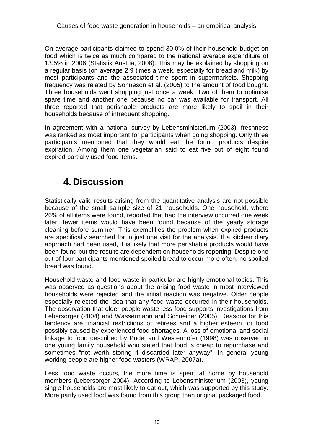On average participants claimed to spend 30.0% of their household budget on food which is twice as much compared to the national average expenditure of 13.5% in 2006 (Statistik Austria, 2008). This may be explained by shopping on a regular basis (on average 2.9 times a week, especially for bread and milk) by most participants and the associated time spent in supermarkets. Shopping frequency was related by Sonneson et al. (2005) to the amount of food bought. Three households went shopping just once a week. Two of them to optimise spare time and another one because no car was available for transport. All three reported that perishable products are more likely to spoil in their households because of infrequent shopping.

In agreement with a national survey by Lebensministerium (2003), freshness was ranked as most important for participants when going shopping. Only three participants mentioned that they would eat the found products despite expiration. Among them one vegetarian said to eat five out of eight found expired partially used food items.

# **4. Discussion**

Statistically valid results arising from the quantitative analysis are not possible because of the small sample size of 21 households. One household, where 26% of all items were found, reported that had the interview occurred one week later, fewer items would have been found because of the yearly storage cleaning before summer. This exemplifies the problem when expired products are specifically searched for in just one visit for the analysis. If a kitchen diary approach had been used, it is likely that more perishable products would have been found but the results are dependent on households reporting. Despite one out of four participants mentioned spoiled bread to occur more often, no spoiled bread was found.

Household waste and food waste in particular are highly emotional topics. This was observed as questions about the arising food waste in most interviewed households were rejected and the initial reaction was negative. Older people especially rejected the idea that any food waste occurred in their households. The observation that older people waste less food supports investigations from Lebersorger (2004) and Wassermann and Schneider (2005). Reasons for this tendency are financial restrictions of retirees and a higher esteem for food possibly caused by experienced food shortages. A loss of emotional and social linkage to food described by Pudel and Westenhöfer (1998) was observed in one young family household who stated that food is cheap to repurchase and sometimes "not worth storing if discarded later anyway". In general young working people are higher food wasters (WRAP, 2007a).

Less food waste occurs, the more time is spent at home by household members (Lebersorger 2004). According to Lebensministerium (2003), young single households are most likely to eat out, which was supported by this study. More partly used food was found from this group than original packaged food.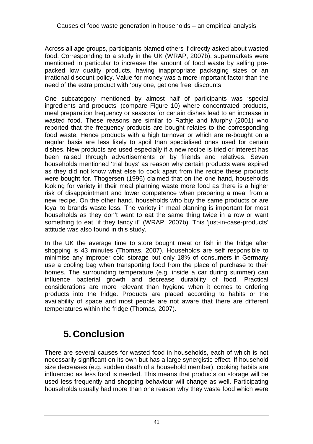Across all age groups, participants blamed others if directly asked about wasted food. Corresponding to a study in the UK (WRAP, 2007b), supermarkets were mentioned in particular to increase the amount of food waste by selling prepacked low quality products, having inappropriate packaging sizes or an irrational discount policy. Value for money was a more important factor than the need of the extra product with 'buy one, get one free' discounts.

One subcategory mentioned by almost half of participants was 'special ingredients and products' (compare Figure 10) where concentrated products, meal preparation frequency or seasons for certain dishes lead to an increase in wasted food. These reasons are similar to Rathje and Murphy (2001) who reported that the frequency products are bought relates to the corresponding food waste. Hence products with a high turnover or which are re-bought on a regular basis are less likely to spoil than specialised ones used for certain dishes. New products are used especially if a new recipe is tried or interest has been raised through advertisements or by friends and relatives. Seven households mentioned 'trial buys' as reason why certain products were expired as they did not know what else to cook apart from the recipe these products were bought for. Thogersen (1996) claimed that on the one hand, households looking for variety in their meal planning waste more food as there is a higher risk of disappointment and lower competence when preparing a meal from a new recipe. On the other hand, households who buy the same products or are loyal to brands waste less. The variety in meal planning is important for most households as they don't want to eat the same thing twice in a row or want something to eat "if they fancy it" (WRAP, 2007b). This 'just-in-case-products' attitude was also found in this study.

In the UK the average time to store bought meat or fish in the fridge after shopping is 43 minutes (Thomas, 2007). Households are self responsible to minimise any improper cold storage but only 18% of consumers in Germany use a cooling bag when transporting food from the place of purchase to their homes. The surrounding temperature (e.g. inside a car during summer) can influence bacterial growth and decrease durability of food. Practical considerations are more relevant than hygiene when it comes to ordering products into the fridge. Products are placed according to habits or the availability of space and most people are not aware that there are different temperatures within the fridge (Thomas, 2007).

# **5. Conclusion**

There are several causes for wasted food in households, each of which is not necessarily significant on its own but has a large synergistic effect. If household size decreases (e.g. sudden death of a household member), cooking habits are influenced as less food is needed. This means that products on storage will be used less frequently and shopping behaviour will change as well. Participating households usually had more than one reason why they waste food which were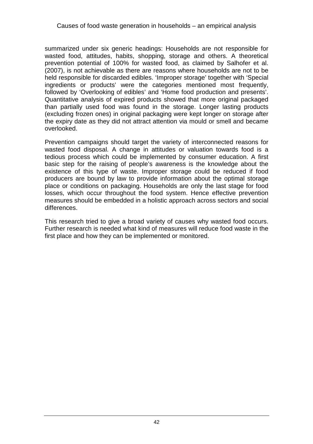#### Causes of food waste generation in households – an empirical analysis

summarized under six generic headings: Households are not responsible for wasted food, attitudes, habits, shopping, storage and others. A theoretical prevention potential of 100% for wasted food, as claimed by Salhofer et al. (2007), is not achievable as there are reasons where households are not to be held responsible for discarded edibles. 'Improper storage' together with 'Special ingredients or products' were the categories mentioned most frequently, followed by 'Overlooking of edibles' and 'Home food production and presents'. Quantitative analysis of expired products showed that more original packaged than partially used food was found in the storage. Longer lasting products (excluding frozen ones) in original packaging were kept longer on storage after the expiry date as they did not attract attention via mould or smell and became overlooked.

Prevention campaigns should target the variety of interconnected reasons for wasted food disposal. A change in attitudes or valuation towards food is a tedious process which could be implemented by consumer education. A first basic step for the raising of people's awareness is the knowledge about the existence of this type of waste. Improper storage could be reduced if food producers are bound by law to provide information about the optimal storage place or conditions on packaging. Households are only the last stage for food losses, which occur throughout the food system. Hence effective prevention measures should be embedded in a holistic approach across sectors and social differences.

This research tried to give a broad variety of causes why wasted food occurs. Further research is needed what kind of measures will reduce food waste in the first place and how they can be implemented or monitored.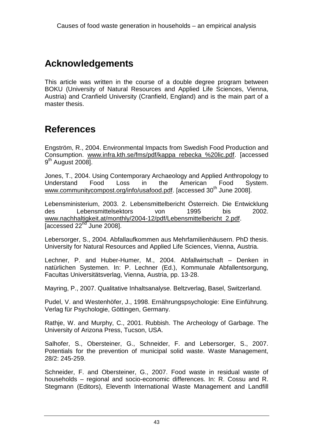### **Acknowledgements**

This article was written in the course of a double degree program between BOKU (University of Natural Resources and Applied Life Sciences, Vienna, Austria) and Cranfield University (Cranfield, England) and is the main part of a master thesis.

### **References**

Engström, R., 2004. Environmental Impacts from Swedish Food Production and Consumption. www.infra.kth.se/fms/pdf/kappa\_rebecka\_%20lic.pdf. [accessed 9<sup>th</sup> August 2008].

Jones, T., 2004. Using Contemporary Archaeology and Applied Anthropology to Understand Food Loss in the American Food System. www.communitycompost.org/info/usafood.pdf. [accessed 30<sup>th</sup> June 2008].

Lebensministerium, 2003. 2. Lebensmittelbericht Österreich. Die Entwicklung des Lebensmittelsektors von 1995 bis 2002. www.nachhaltigkeit.at/monthly/2004-12/pdf/Lebensmittelbericht\_2.pdf. [accessed  $22<sup>nd</sup>$  June 2008].

Lebersorger, S., 2004. Abfallaufkommen aus Mehrfamilienhäusern. PhD thesis. University for Natural Resources and Applied Life Sciences, Vienna, Austria.

Lechner, P. and Huber-Humer, M., 2004. Abfallwirtschaft – Denken in natürlichen Systemen. In: P. Lechner (Ed.), Kommunale Abfallentsorgung, Facultas Universitätsverlag, Vienna, Austria, pp. 13-28.

Mayring, P., 2007. Qualitative Inhaltsanalyse. Beltzverlag, Basel, Switzerland.

Pudel, V. and Westenhöfer, J., 1998. Ernährungspsychologie: Eine Einführung. Verlag für Psychologie, Göttingen, Germany.

Rathje, W. and Murphy, C., 2001. Rubbish. The Archeology of Garbage. The University of Arizona Press, Tucson, USA.

Salhofer, S., Obersteiner, G., Schneider, F. and Lebersorger, S., 2007. Potentials for the prevention of municipal solid waste. Waste Management, 28/2: 245-259.

Schneider, F. and Obersteiner, G., 2007. Food waste in residual waste of households – regional and socio-economic differences. In: R. Cossu and R. Stegmann (Editors), Eleventh International Waste Management and Landfill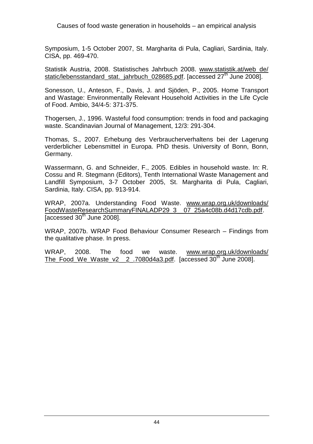Causes of food waste generation in households – an empirical analysis

Symposium, 1-5 October 2007, St. Margharita di Pula, Cagliari, Sardinia, Italy. CISA, pp. 469-470.

Statistik Austria, 2008. Statistisches Jahrbuch 2008. www.statistik.at/web\_de/ static/lebensstandard\_stat.\_jahrbuch\_028685.pdf. [accessed 27<sup>th</sup> June 2008].

Sonesson, U., Anteson, F., Davis, J. and Sjöden, P., 2005. Home Transport and Wastage: Environmentally Relevant Household Activities in the Life Cycle of Food. Ambio, 34/4-5: 371-375.

Thogersen, J., 1996. Wasteful food consumption: trends in food and packaging waste. Scandinavian Journal of Management, 12/3: 291-304.

Thomas, S., 2007. Erhebung des Verbraucherverhaltens bei der Lagerung verderblicher Lebensmittel in Europa. PhD thesis. University of Bonn, Bonn, Germany.

Wassermann, G. and Schneider, F., 2005. Edibles in household waste. In: R. Cossu and R. Stegmann (Editors), Tenth International Waste Management and Landfill Symposium, 3-7 October 2005, St. Margharita di Pula, Cagliari, Sardinia, Italy. CISA, pp. 913-914.

WRAP, 2007a. Understanding Food Waste. www.wrap.org.uk/downloads/ FoodWasteResearchSummaryFINALADP29\_3\_\_07\_25a4c08b.d4d17cdb.pdf.  $\sqrt{a}$  accessed 30<sup>th</sup> June 2008].

WRAP, 2007b. WRAP Food Behaviour Consumer Research – Findings from the qualitative phase. In press.

WRAP, 2008. The food we waste. www.wrap.org.uk/downloads/ The\_Food\_We\_Waste\_v2\_\_2\_.7080d4a3.pdf. [accessed 30<sup>th</sup> June 2008].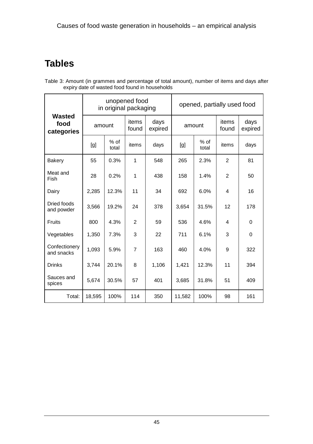# **Tables**

| Table 3: Amount (in grammes and percentage of total amount), number of items and days after |  |
|---------------------------------------------------------------------------------------------|--|
| expiry date of wasted food found in households                                              |  |

|                                     | unopened food<br>in original packaging |                 |                |                 | opened, partially used food |                 |                |                 |
|-------------------------------------|----------------------------------------|-----------------|----------------|-----------------|-----------------------------|-----------------|----------------|-----------------|
| <b>Wasted</b><br>food<br>categories | amount                                 |                 | items<br>found | days<br>expired | amount                      |                 | items<br>found | days<br>expired |
|                                     | [g]                                    | $%$ of<br>total | items          | days            | [g]                         | $%$ of<br>total | items          | days            |
| <b>Bakery</b>                       | 55                                     | 0.3%            | 1              | 548             | 265                         | 2.3%            | $\overline{2}$ | 81              |
| Meat and<br>Fish                    | 28                                     | 0.2%            | 1              | 438             | 158                         | 1.4%            | $\overline{2}$ | 50              |
| Dairy                               | 2,285                                  | 12.3%           | 11             | 34              | 692                         | 6.0%            | 4              | 16              |
| Dried foods<br>and powder           | 3,566                                  | 19.2%           | 24             | 378             | 3,654                       | 31.5%           | 12             | 178             |
| Fruits                              | 800                                    | 4.3%            | $\overline{2}$ | 59              | 536                         | 4.6%            | 4              | $\Omega$        |
| Vegetables                          | 1,350                                  | 7.3%            | 3              | 22              | 711                         | 6.1%            | 3              | $\mathbf 0$     |
| Confectionery<br>and snacks         | 1,093                                  | 5.9%            | $\overline{7}$ | 163             | 460                         | 4.0%            | 9              | 322             |
| <b>Drinks</b>                       | 3,744                                  | 20.1%           | 8              | 1,106           | 1,421                       | 12.3%           | 11             | 394             |
| Sauces and<br>spices                | 5,674                                  | 30.5%           | 57             | 401             | 3,685                       | 31.8%           | 51             | 409             |
| Total:                              | 18,595                                 | 100%            | 114            | 350             | 11,582                      | 100%            | 98             | 161             |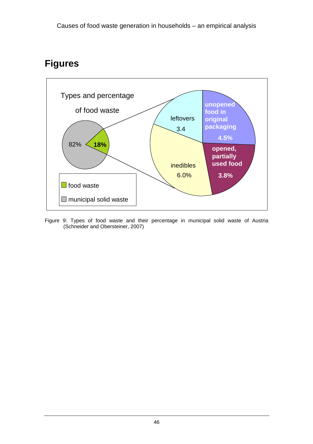#### **Figures**



Figure 9: Types of food waste and their percentage in municipal solid waste of Austria (Schneider and Obersteiner, 2007)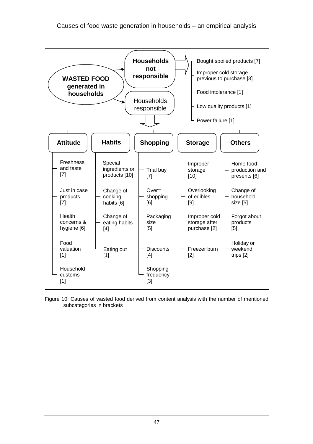

Figure 10: Causes of wasted food derived from content analysis with the number of mentioned subcategories in brackets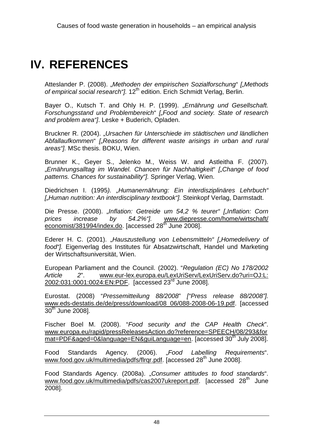# **IV. REFERENCES**

Atteslander P. (2008). "Methoden der empirischen Sozialforschung" ["Methods of empirical social research "l. 12<sup>th</sup> edition. Erich Schmidt Verlag, Berlin.

Bayer O., Kutsch T. and Ohly H. P. (1999). "Ernährung und Gesellschaft. Forschungsstand und Problembereich" ["Food and society. State of research and problem area"]. Leske + Buderich, Opladen.

Bruckner R. (2004). "Ursachen für Unterschiede im städtischen und ländlichen Abfallaufkommen" ["Reasons for different waste arisings in urban and rural areas"]. MSc thesis. BOKU, Wien.

Brunner K., Geyer S., Jelenko M., Weiss W. and Astleitha F. (2007). "Ernährungsalltag im Wandel. Chancen für Nachhaltigkeit" ["Change of food patterns. Chances for sustainability"]. Springer Verlag, Wien.

Diedrichsen I. (1995). "Humanernährung: Ein interdisziplinäres Lehrbuch" ["Human nutrition: An interdisciplinary textbook"]. Steinkopf Verlag, Darmstadt.

Die Presse. (2008). "Inflation: Getreide um 54.2 % teurer" ["Inflation: Corn prices increase by 54.2%"]. www.diepresse.com/home/wirtschaft/  $\epsilon$  economist/381994/index.do. [accessed 28<sup>th</sup> June 2008].

Ederer H. C. (2001). "Hauszustellung von Lebensmitteln" ["Homedelivery of food"]. Eigenverlag des Institutes für Absatzwirtschaft, Handel und Marketing der Wirtschaftsuniversität, Wien.

European Parliament and the Council. (2002). "Regulation (EC) No 178/2002 Article 2". www.eur-lex.europa.eu/LexUriServ/LexUriServ.do?uri=OJ:L: 2002:031:0001:0024:EN:PDF. [accessed 23rd June 2008].

Eurostat. (2008) "Pressemitteilung 88/2008" ["Press release 88/2008"]. www.eds-destatis.de/de/press/download/08\_06/088-2008-06-19.pdf. [accessed  $30<sup>th</sup>$  June 2008].

Fischer Boel M. (2008). "Food security and the CAP Health Check". www.europa.eu/rapid/pressReleasesAction.do?reference=SPEECH/08/293&for mat=PDF&aged=0&language=EN&guiLanguage=en. [accessed 30<sup>th</sup> July 2008].

Food Standards Agency, (2006). ..Food Labelling Requirements". www.food.gov.uk/multimedia/pdfs/flrgr.pdf. [accessed 28<sup>th</sup> June 2008].

Food Standards Agency. (2008a). "Consumer attitudes to food standards". www.food.gov.uk/multimedia/pdfs/cas2007ukreport.pdf. [accessed 28<sup>th</sup> June 2008].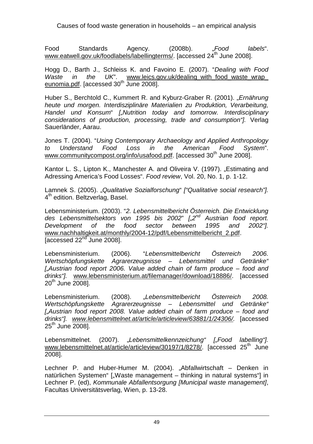Causes of food waste generation in households – an empirical analysis

Food Standards Agency. (2008b). *.Food labels*". www.eatwell.gov.uk/foodlabels/labellingterms/. [accessed 24<sup>th</sup> June 2008].

Hogg D., Barth J., Schleiss K. and Favoino E. (2007). "Dealing with Food Waste in the UK". www.leics.gov.uk/dealing\_with\_food\_waste\_wrap eunomia.pdf. [accessed 30<sup>th</sup> June 2008].

Huber S., Berchtold C., Kummert R. and Kyburz-Graber R. (2001). "Ernährung heute und morgen. Interdisziplinäre Materialien zu Produktion, Verarbeitung, Handel und Konsum" ["Nutrition today and tomorrow. Interdisciplinary considerations of production, processing, trade and consumption"]. Verlag Sauerländer, Aarau.

Jones T. (2004). "Using Contemporary Archaeology and Applied Anthropology to Understand Food Loss in the American Food System". www.communitycompost.org/info/usafood.pdf. [accessed 30<sup>th</sup> June 2008].

Kantor L. S., Lipton K., Manchester A. and Oliveira V. (1997). "Estimating and Adressing America's Food Losses", Food review, Vol. 20, No. 1, p. 1-12.

Lamnek S. (2005). "Qualitative Sozialforschung" ["Qualitative social research"]. 4<sup>th</sup> edition. Beltzverlag, Basel.

Lebensministerium. (2003). "2. Lebensmittelbericht Österreich. Die Entwicklung des Lebensmittelsektors von 1995 bis 2002"  $\int_{\alpha} 2^{nd}$  Austrian food report. Development of the food sector between 1995 and 2002"]. www.nachhaltigkeit.at/monthly/2004-12/pdf/Lebensmittelbericht\_2.pdf.  $I$ accessed 22 $n<sup>rd</sup>$  June 2008].

Lebensministerium. (2006). "Lebensmittelbericht Österreich 2006. Wertschöpfungskette Agrarerzeugnisse – Lebensmittel und Getränke" [..Austrian food report 2006. Value added chain of farm produce – food and drinks"]. www.lebensministerium.at/filemanager/download/18886/. [accessed  $20<sup>th</sup>$  June 2008].

Lebensministerium. (2008). "Lebensmittelbericht Österreich 2008. Wertschöpfungskette Agrarerzeugnisse – Lebensmittel und Getränke" [..Austrian food report 2008. Value added chain of farm produce – food and drinks"]. www.lebensmittelnet.at/article/articleview/63881/1/24306/. [accessed  $25<sup>th</sup>$  June  $2008$ .

Lebensmittelnet. (2007). "Lebensmittelkennzeichung" ["Food labelling"]. www.lebensmittelnet.at/article/articleview/30197/1/8278/. [accessed 25<sup>th</sup> June 2008].

Lechner P. and Huber-Humer M. (2004). "Abfallwirtschaft – Denken in natürlichen Systemen" ["Waste management – thinking in natural systems"] in Lechner P. (ed), Kommunale Abfallentsorgung [Municipal waste management], Facultas Universitätsverlag, Wien, p. 13-28.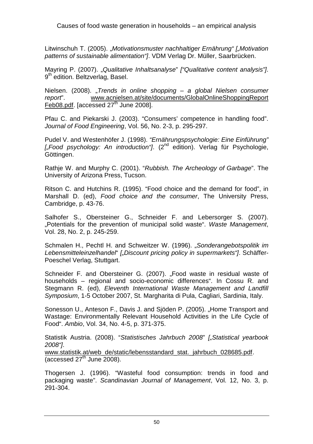Litwinschuh T. (2005). "Motivationsmuster nachhaltiger Ernährung" ["Motivation patterns of sustainable alimentation"]. VDM Verlag Dr. Müller, Saarbrücken.

Mayring P. (2007). "Qualitative Inhaltsanalyse" *["Qualitative content analysis"]*. 9<sup>th</sup> edition. Beltzverlag, Basel.

Nielsen. (2008). "Trends in online shopping – a global Nielsen consumer report". www.acnielsen.at/site/documents/GlobalOnlineShoppingReport Feb08.pdf. [accessed  $27<sup>th</sup>$  June 2008].

Pfau C. and Piekarski J. (2003). "Consumers' competence in handling food". Journal of Food Engineering, Vol. 56, No. 2-3, p. 295-297.

Pudel V. and Westenhöfer J. (1998). "Ernährungspsychologie: Eine Einführung"  $\int_{\mathcal{C}}$  Food psychology: An introduction  $\int_{\mathcal{C}}$ . (2<sup>nd</sup> edition). Verlag für Psychologie, Göttingen.

Rathje W. and Murphy C. (2001). "Rubbish. The Archeology of Garbage". The University of Arizona Press, Tucson.

Ritson C. and Hutchins R. (1995). "Food choice and the demand for food", in Marshall D. (ed), Food choice and the consumer, The University Press, Cambridge, p. 43-76.

Salhofer S., Obersteiner G., Schneider F. and Lebersorger S. (2007). ..Potentials for the prevention of municipal solid waste". Waste Management, Vol. 28, No. 2, p. 245-259.

Schmalen H., Pechtl H. and Schweitzer W. (1996). "Sonderangebotspolitik im Lebensmitteleinzelhandel" ["Discount pricing policy in supermarkets"]. Schäffer-Poeschel Verlag, Stuttgart.

Schneider F. and Obersteiner G. (2007). "Food waste in residual waste of households – regional and socio-economic differences". In Cossu R. and Stegmann R. (ed), Eleventh International Waste Management and Landfill Symposium, 1-5 October 2007, St. Margharita di Pula, Cagliari, Sardinia, Italy.

Sonesson U., Anteson F., Davis J. and Sjöden P. (2005). "Home Transport and Wastage: Environmentally Relevant Household Activities in the Life Cycle of Food". Ambio, Vol. 34, No. 4-5, p. 371-375.

Statistik Austria. (2008). "Statistisches Jahrbuch 2008" ["Statistical yearbook 2008"]. www.statistik.at/web\_de/static/lebensstandard\_stat.\_jahrbuch\_028685.pdf.

(accessed  $27<sup>th</sup>$  June 2008).

Thogersen J. (1996). "Wasteful food consumption: trends in food and packaging waste". Scandinavian Journal of Management, Vol. 12, No. 3, p. 291-304.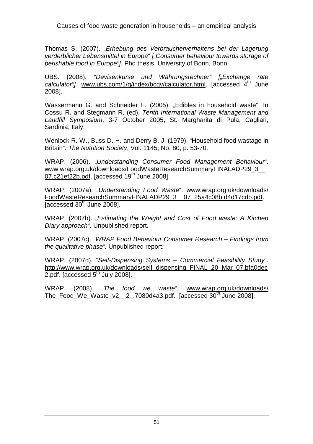Causes of food waste generation in households – an empirical analysis

Thomas S. (2007). "Erhebung des Verbraucherverhaltens bei der Lagerung verderblicher Lebensmittel in Europa" ["Consumer behaviour towards storage of perishable food in Europe <sup>"</sup>. Phd thesis, University of Bonn, Bonn,

UBS. (2008). "Devisenkurse und Währungsrechner" ["Exchange rate calculator"]. www.ubs.com/1/g/index/bcqv/calculator.html. [accessed  $4<sup>th</sup>$  June 2008].

Wassermann G. and Schneider F. (2005). "Edibles in household waste". In Cossu R. and Stegmann R. (ed), Tenth International Waste Management and Landfill Symposium, 3-7 October 2005, St. Margharita di Pula, Cagliari, Sardinia, Italy.

Wenlock R. W., Buss D. H. and Derry B. J. (1979). "Household food wastage in Britain". The Nutrition Society, Vol. 1145, No. 80, p. 53-70.

WRAP. (2006). "Understanding Consumer Food Management Behaviour". www.wrap.org.uk/downloads/FoodWasteResearchSummaryFINALADP29\_3\_\_ 07.c21ef22b.pdf. [accessed 19<sup>th</sup> June 2008].

WRAP. (2007a). "Understanding Food Waste". www.wrap.org.uk/downloads/ FoodWasteResearchSummaryFINALADP29\_3\_\_07\_25a4c08b.d4d17cdb.pdf. [accessed  $30<sup>th</sup>$  June 2008].

WRAP. (2007b). "Estimating the Weight and Cost of Food waste: A Kitchen Diary approach". Unpublished report.

WRAP. (2007c). "WRAP Food Behaviour Consumer Research – Findings from the qualitative phase". Unpublished report.

WRAP. (2007d). "Self-Dispensing Systems – Commercial Feasibility Study". http://www.wrap.org.uk/downloads/self\_dispensing\_FINAL\_20\_Mar\_07.bfa0dec 2.pdf. [accessed  $5<sup>th</sup>$  July 2008].

WRAP. (2008). "The food we waste". www.wrap.org.uk/downloads/ The\_Food\_We\_Waste\_v2\_\_2\_.7080d4a3.pdf. [accessed  $30<sup>th</sup>$  June 2008].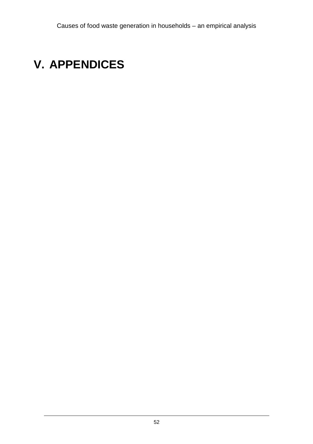# **V. APPENDICES**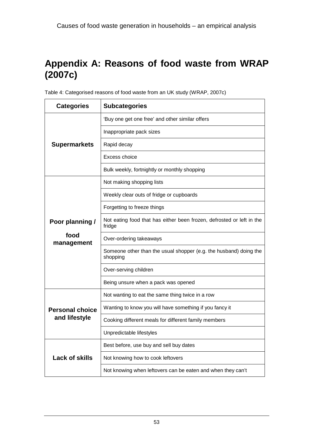# **Appendix A: Reasons of food waste from WRAP (2007c)**

| <b>Categories</b>      | <b>Subcategories</b>                                                            |
|------------------------|---------------------------------------------------------------------------------|
|                        | 'Buy one get one free' and other similar offers                                 |
|                        | Inappropriate pack sizes                                                        |
| <b>Supermarkets</b>    | Rapid decay                                                                     |
|                        | Excess choice                                                                   |
|                        | Bulk weekly, fortnightly or monthly shopping                                    |
|                        | Not making shopping lists                                                       |
|                        | Weekly clear outs of fridge or cupboards                                        |
|                        | Forgetting to freeze things                                                     |
| Poor planning /        | Not eating food that has either been frozen, defrosted or left in the<br>fridge |
| food<br>management     | Over-ordering takeaways                                                         |
|                        | Someone other than the usual shopper (e.g. the husband) doing the<br>shopping   |
|                        | Over-serving children                                                           |
|                        | Being unsure when a pack was opened                                             |
|                        | Not wanting to eat the same thing twice in a row                                |
| <b>Personal choice</b> | Wanting to know you will have something if you fancy it                         |
| and lifestyle          | Cooking different meals for different family members                            |
|                        | Unpredictable lifestyles                                                        |
|                        | Best before, use buy and sell buy dates                                         |
| <b>Lack of skills</b>  | Not knowing how to cook leftovers                                               |
|                        | Not knowing when leftovers can be eaten and when they can't                     |

Table 4: Categorised reasons of food waste from an UK study (WRAP, 2007c)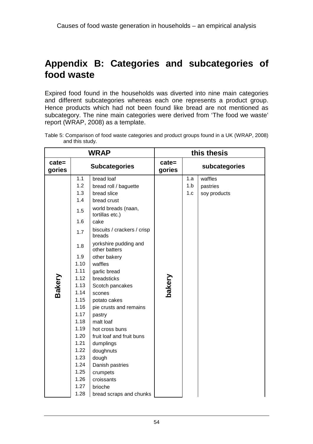#### **Appendix B: Categories and subcategories of food waste**

Expired food found in the households was diverted into nine main categories and different subcategories whereas each one represents a product group. Hence products which had not been found like bread are not mentioned as subcategory. The nine main categories were derived from 'The food we waste' report (WRAP, 2008) as a template.

|                 | .                                                                                          |
|-----------------|--------------------------------------------------------------------------------------------|
| and this study. | Table 5: Comparison of food waste categories and product groups found in a UK (WRAP, 2008) |

|                    |                                                                                                                                                                                                                     | <b>WRAP</b>                                                                                                                                                                                                                                                                                                                                                                                                                                                                                                                         |                    |                   | this thesis                         |
|--------------------|---------------------------------------------------------------------------------------------------------------------------------------------------------------------------------------------------------------------|-------------------------------------------------------------------------------------------------------------------------------------------------------------------------------------------------------------------------------------------------------------------------------------------------------------------------------------------------------------------------------------------------------------------------------------------------------------------------------------------------------------------------------------|--------------------|-------------------|-------------------------------------|
| $cate =$<br>gories |                                                                                                                                                                                                                     | <b>Subcategories</b>                                                                                                                                                                                                                                                                                                                                                                                                                                                                                                                | $cate =$<br>gories |                   | subcategories                       |
| Bakery             | 1.1<br>1.2<br>1.3<br>1.4<br>1.5<br>1.6<br>1.7<br>1.8<br>1.9<br>1.10<br>1.11<br>1.12<br>1.13<br>1.14<br>1.15<br>1.16<br>1.17<br>1.18<br>1.19<br>1.20<br>1.21<br>1.22<br>1.23<br>1.24<br>1.25<br>1.26<br>1.27<br>1.28 | bread loaf<br>bread roll / baguette<br>bread slice<br>bread crust<br>world breads (naan,<br>tortillas etc.)<br>cake<br>biscuits / crackers / crisp<br>breads<br>yorkshire pudding and<br>other batters<br>other bakery<br>waffles<br>garlic bread<br>breadsticks<br>Scotch pancakes<br>scones<br>potato cakes<br>pie crusts and remains<br>pastry<br>malt loaf<br>hot cross buns<br>fruit loaf and fruit buns<br>dumplings<br>doughnuts<br>dough<br>Danish pastries<br>crumpets<br>croissants<br>brioche<br>bread scraps and chunks | bakery             | 1.a<br>1.b<br>1.c | waffles<br>pastries<br>soy products |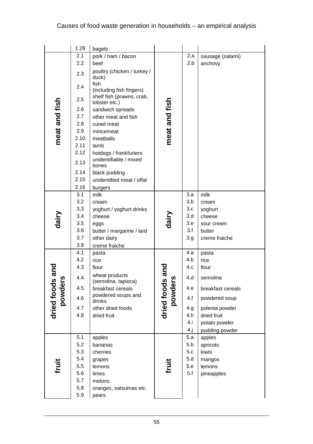|                       | 1.29       | bagels                                                        |                       |            |                   |
|-----------------------|------------|---------------------------------------------------------------|-----------------------|------------|-------------------|
|                       | 2.1        | pork / ham / bacon                                            |                       | 2.a        | sausage (salami)  |
|                       | 2.2        | beef                                                          |                       | 2.b        | anchovy           |
|                       | 2.3        | poultry (chicken / turkey /<br>duck)                          |                       |            |                   |
|                       | 2.4        | fish<br>(including fish fingers)<br>shelf fish (prawns, crab, |                       |            |                   |
| meat and fish         | 2.5        | lobster etc.)                                                 | meat and fish         |            |                   |
|                       | 2.6        | sandwich spreads                                              |                       |            |                   |
|                       | 2.7        | other meat and fish                                           |                       |            |                   |
|                       | 2.8        | cured meat                                                    |                       |            |                   |
|                       | 2.9        | mincemeat                                                     |                       |            |                   |
|                       | 2.10       | meatballs                                                     |                       |            |                   |
|                       | 2.11       | lamb                                                          |                       |            |                   |
|                       | 2.12       | hotdogs / frankfurters                                        |                       |            |                   |
|                       | 2.13       | unidentifiable / mixed<br>bones                               |                       |            |                   |
|                       | 2.14       | black pudding                                                 |                       |            |                   |
|                       | 2.15       | unidentified meat / offal                                     |                       |            |                   |
|                       | 2.16       | burgers                                                       |                       |            |                   |
|                       | 3.1        | milk                                                          |                       | 3.a        | milk              |
| dairy                 | 3.2        | cream                                                         |                       | 3.b        | cream             |
|                       | 3.3        | yoghurt / yoghurt drinks                                      |                       | 3.c        | yoghurt           |
|                       | 3.4        | cheese                                                        | dairy                 | 3.d        | cheese            |
|                       | 3.5        | eggs                                                          |                       | 3.e<br>3.f | sour cream        |
|                       | 3.6<br>3.7 | butter / margarine / lard                                     |                       |            | butter            |
|                       | 3.8        | other dairy                                                   |                       | 3.g        | creme fraiche     |
|                       | 4.1        | creme fraiche<br>pasta                                        |                       | 4.a        | pasta             |
|                       | 4.2        | rice                                                          |                       | 4.b        | rice              |
|                       | 4.3        | flour                                                         |                       | 4.c        | flour             |
| and<br>n              | 4.4        | wheat products                                                | and<br>ഗ              | 4.d        | semolina          |
|                       | 4.5        | (semolina, tapioca)<br>breakfast cereals                      |                       | 4.e        | breakfast cereals |
| dried foods<br>powder | 4.6        | powdered soups and<br>drinks                                  | dried foods<br>powder | 4.f        | powdered soup     |
|                       | 4.7        | other dried foods                                             |                       | 4.g        | polenta powder    |
|                       | 4.8        | dried fruit                                                   |                       | 4.h        | dried fruit       |
|                       |            |                                                               |                       | 4.i        | potato powder     |
|                       |            |                                                               |                       | 4.1        | pudding powder    |
|                       | 5.1        | apples                                                        |                       | 5.a        | apples            |
|                       | 5.2        | bananas                                                       |                       | 5.b        | apricots          |
|                       | 5.3        | cherries                                                      |                       | 5.c        | kiwis             |
|                       | 5.4        | grapes                                                        |                       | 5.d        | mangos            |
| fruit                 | 5.5        | lemons                                                        | fruit                 | 5.e        | lemons            |
|                       | 5.6        | limes                                                         |                       | 5.f        | pineapples        |
|                       | 5.7        | melons                                                        |                       |            |                   |
|                       | 5.8<br>5.9 | oranges, satsumas etc.                                        |                       |            |                   |
|                       |            | pears                                                         |                       |            |                   |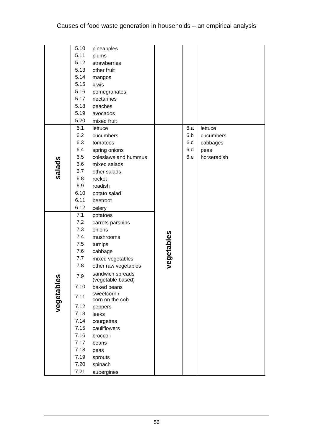|           | 5.10       | pineapples                            |            |     |             |
|-----------|------------|---------------------------------------|------------|-----|-------------|
|           | 5.11       | plums                                 |            |     |             |
|           | 5.12       | strawberries                          |            |     |             |
|           | 5.13       | other fruit                           |            |     |             |
|           | 5.14       | mangos                                |            |     |             |
|           | 5.15       | kiwis                                 |            |     |             |
|           | 5.16       | pomegranates                          |            |     |             |
|           | 5.17       | nectarines                            |            |     |             |
|           | 5.18       | peaches                               |            |     |             |
|           | 5.19       | avocados                              |            |     |             |
|           | 5.20       | mixed fruit                           |            |     |             |
|           | 6.1        | lettuce                               |            | 6.a | lettuce     |
|           | 6.2        | cucumbers                             |            | 6.b | cucumbers   |
|           | 6.3        | tomatoes                              |            | 6.c | cabbages    |
|           | 6.4        | spring onions                         |            | 6.d | peas        |
|           | 6.5        | coleslaws and hummus                  |            | 6.e | horseradish |
| salads    | 6.6        | mixed salads                          |            |     |             |
|           | 6.7        | other salads                          |            |     |             |
|           | 6.8        | rocket                                |            |     |             |
|           | 6.9        | roadish                               |            |     |             |
|           | 6.10       | potato salad                          |            |     |             |
|           | 6.11       | beetroot                              |            |     |             |
|           | 6.12       | celery                                |            |     |             |
|           | 7.1        | potatoes                              |            |     |             |
|           | 7.2        | carrots parsnips                      |            |     |             |
|           | 7.3        | onions                                |            |     |             |
|           | 7.4        | mushrooms                             |            |     |             |
|           | 7.5        | turnips                               | vegetables |     |             |
|           | 7.6        | cabbage                               |            |     |             |
|           | 7.7<br>7.8 | mixed vegetables                      |            |     |             |
|           |            | other raw vegetables                  |            |     |             |
| S.        | 7.9        | sandwich spreads<br>(vegetable-based) |            |     |             |
|           | 7.10       | baked beans                           |            |     |             |
| vegetable | 7.11       | sweetcorn /<br>corn on the cob        |            |     |             |
|           | 7.12       | peppers                               |            |     |             |
|           | 7.13       | leeks                                 |            |     |             |
|           | 7.14       | courgettes                            |            |     |             |
|           | 7.15       | cauliflowers                          |            |     |             |
|           | 7.16       | broccoli                              |            |     |             |
|           | 7.17       | beans                                 |            |     |             |
|           | 7.18       | peas                                  |            |     |             |
|           | 7.19       | sprouts                               |            |     |             |
|           | 7.20       | spinach                               |            |     |             |
|           | 7.21       | aubergines                            |            |     |             |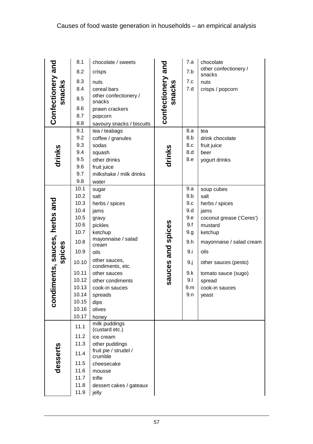|                                      | 8.1         | chocolate / sweets                |                             | 7.a | chocolate                |
|--------------------------------------|-------------|-----------------------------------|-----------------------------|-----|--------------------------|
|                                      | 8.2         | crisps                            |                             | 7.b | other confectionery /    |
|                                      | 8.3         | nuts                              |                             | 7.c | snacks<br>nuts           |
|                                      | 8.4         | cereal bars                       |                             | 7.d | crisps / popcorn         |
| Confectionery and<br>snacks          | 8.5         | other confectionery /<br>snacks   | confectionery and<br>snacks |     |                          |
|                                      | 8.6         | prawn crackers                    |                             |     |                          |
|                                      | 8.7         | popcorn                           |                             |     |                          |
|                                      | 8.8         | savoury snacks / biscuits         |                             |     |                          |
|                                      | 9.1         | tea / teabags                     |                             | 8.a | tea                      |
|                                      | 9.2         | coffee / granules                 |                             | 8.b | drink chocolate          |
|                                      | 9.3         | sodas                             | drinks                      | 8.c | fruit juice              |
|                                      | 9.4         | squash                            |                             | 8.d | beer                     |
| drinks                               | 9.5         | other drinks                      |                             | 8.e | yogurt drinks            |
|                                      | 9.6         | fruit juice                       |                             |     |                          |
|                                      | 9.7         | milkshake / milk drinks           |                             |     |                          |
|                                      | 9.8<br>10.1 | water                             |                             | 9.a |                          |
|                                      | 10.2        | sugar<br>salt                     |                             | 9.b | soup cubes<br>salt       |
|                                      | 10.3        | herbs / spices                    |                             | 9.c | herbs / spices           |
|                                      | 10.4        | jams                              |                             | 9.d | jams                     |
|                                      | 10.5        | gravy                             |                             | 9.e | coconut grease ('Ceres') |
|                                      | 10.6        | pickles                           |                             | 9.f | mustard                  |
|                                      | 10.7        | ketchup                           |                             | 9.g | ketchup                  |
|                                      | 10.8        | mayonnaise / salad<br>cream       |                             | 9.h | mayonnaise / salad cream |
|                                      | 10.9        | oils                              |                             | 9.i | oils                     |
| diments, sauces, herbs and<br>spices | 10.10       | other sauces,<br>condiments, etc. | sauces and spices           | 9.j | other sauces (pesto)     |
|                                      | 10.11       | other sauces                      |                             | 9.k | tomato sauce (sugo)      |
|                                      | 10.12       | other condiments                  |                             | 9.1 | spread                   |
|                                      | 10.13       | cook-in sauces                    |                             | 9.m | cook-in sauces           |
|                                      | 10.14       | spreads                           |                             | 9.n | yeast                    |
| <b>CON</b>                           | 10.15       | dips                              |                             |     |                          |
|                                      | 10.16       | olives                            |                             |     |                          |
|                                      | 10.17       | honey                             |                             |     |                          |
|                                      | 11.1        | milk puddings<br>(custard etc.)   |                             |     |                          |
|                                      | 11.2        | ice cream                         |                             |     |                          |
|                                      | 11.3        | other puddings                    |                             |     |                          |
| desserts                             | 11.4        | fruit pie / strudel /<br>crumble  |                             |     |                          |
|                                      | 11.5        | cheesecake                        |                             |     |                          |
|                                      | 11.6        | mousse                            |                             |     |                          |
|                                      | 11.7        | trifle                            |                             |     |                          |
|                                      | 11.8        | dessert cakes / gateaux           |                             |     |                          |
|                                      | 11.9        | jelly                             |                             |     |                          |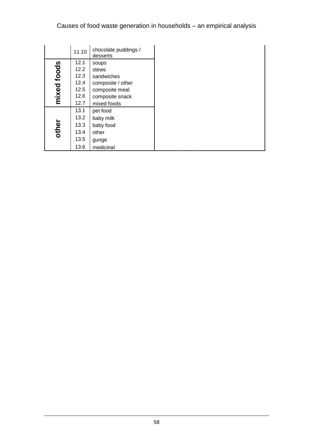|             | 11.10 | chocolate puddings /<br>desserts |
|-------------|-------|----------------------------------|
|             | 12.1  | soups                            |
| mixed foods | 12.2  | stews                            |
|             | 12.3  | sandwiches                       |
|             | 12.4  | composite / other                |
|             | 12.5  | composite meal                   |
|             | 12.6  | composite snack                  |
|             | 12.7  | mixed foods                      |
|             | 13.1  | pet food                         |
|             | 13.2  | baby milk                        |
| other       | 13.3  | baby food                        |
|             | 13.4  | other                            |
|             | 13.5  | gunge                            |
|             | 13.6  | medicinal                        |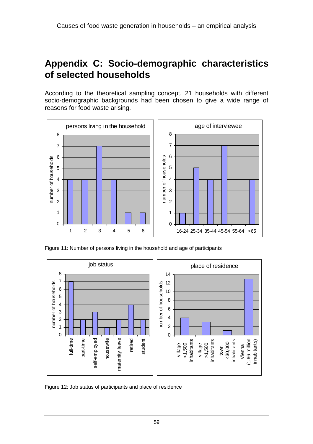#### **Appendix C: Socio-demographic characteristics of selected households**

According to the theoretical sampling concept, 21 households with different socio-demographic backgrounds had been chosen to give a wide range of reasons for food waste arising.



Figure 11: Number of persons living in the household and age of participants



Figure 12: Job status of participants and place of residence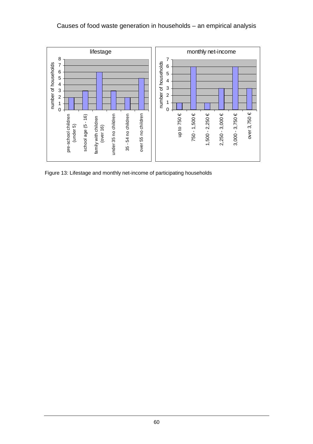#### Causes of food waste generation in households – an empirical analysis



Figure 13: Lifestage and monthly net-income of participating households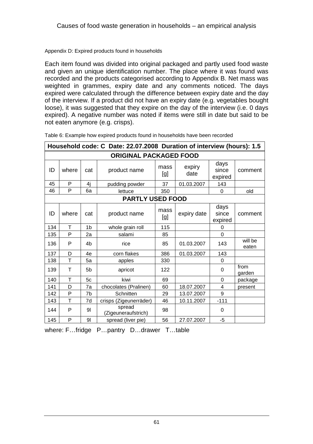#### Appendix D: Expired products found in households

Each item found was divided into original packaged and partly used food waste and given an unique identification number. The place where it was found was recorded and the products categorised according to Appendix B. Net mass was weighted in grammes, expiry date and any comments noticed. The days expired were calculated through the difference between expiry date and the day of the interview. If a product did not have an expiry date (e.g. vegetables bought loose), it was suggested that they expire on the day of the interview (i.e. 0 days expired). A negative number was noted if items were still in date but said to be not eaten anymore (e.g. crisps).

|     | Household code: C Date: 22.07.2008 Duration of interview (hours): 1.5 |                |                               |             |                |                          |                  |  |
|-----|-----------------------------------------------------------------------|----------------|-------------------------------|-------------|----------------|--------------------------|------------------|--|
|     | <b>ORIGINAL PACKAGED FOOD</b>                                         |                |                               |             |                |                          |                  |  |
| ID  | where                                                                 | cat            | product name                  | mass<br>[g] | expiry<br>date | days<br>since<br>expired | comment          |  |
| 45  | P                                                                     | 4j             | pudding powder                | 37          | 01.03.2007     | 143                      |                  |  |
| 46  | P                                                                     | 6a             | lettuce                       | 350         |                | 0                        | old              |  |
|     | <b>PARTLY USED FOOD</b>                                               |                |                               |             |                |                          |                  |  |
| ID  | where                                                                 | cat            | product name                  | mass<br>[g] | expiry date    | days<br>since<br>expired | comment          |  |
| 134 | T                                                                     | 1 <sub>b</sub> | whole grain roll              | 115         |                | 0                        |                  |  |
| 135 | P                                                                     | 2a             | salami                        | 85          |                | $\overline{0}$           |                  |  |
| 136 | P                                                                     | 4 <sub>b</sub> | rice                          | 85          | 01.03.2007     | 143                      | will be<br>eaten |  |
| 137 | D                                                                     | 4e             | corn flakes                   | 386         | 01.03.2007     | 143                      |                  |  |
| 138 | T                                                                     | 5a             | apples                        | 330         |                | 0                        |                  |  |
| 139 | Т                                                                     | 5 <sub>b</sub> | apricot                       | 122         |                | 0                        | from<br>garden   |  |
| 140 | Т                                                                     | 5c             | kiwi                          | 69          |                | 0                        | package          |  |
| 141 | D                                                                     | 7a             | chocolates (Pralinen)         | 60          | 18.07.2007     | 4                        | present          |  |
| 142 | P                                                                     | 7b             | Schnitten                     | 29          | 13.07.2007     | 9                        |                  |  |
| 143 | T                                                                     | 7d             | crisps (Zigeunerräder)        | 46          | 10.11.2007     | $-111$                   |                  |  |
| 144 | P                                                                     | 91             | spread<br>(Zigeuneraufstrich) | 98          |                | $\Omega$                 |                  |  |
| 145 | P                                                                     | 9 <sub>l</sub> | spread (liver pie)            | 56          | 27.07.2007     | $-5$                     |                  |  |

Table 6: Example how expired products found in households have been recorded

where: F…fridge P…pantry D…drawer T…table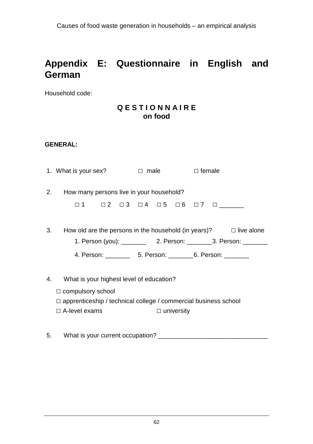### **Appendix E: Questionnaire in English and German**

Household code:

#### **Q E S T I O N N A I R E on food**

#### **GENERAL:**

|    | 1. What is your sex?                                                   | ender i Dumale                                                        | $\Box$ female                                                          |  |
|----|------------------------------------------------------------------------|-----------------------------------------------------------------------|------------------------------------------------------------------------|--|
| 2. | How many persons live in your household?                               |                                                                       |                                                                        |  |
|    |                                                                        | $\Box$ 1 $\Box$ 2 $\Box$ 3 $\Box$ 4 $\Box$ 5 $\Box$ 6 $\Box$ 7 $\Box$ |                                                                        |  |
| 3. |                                                                        |                                                                       | How old are the persons in the household (in years)? $\Box$ live alone |  |
|    |                                                                        |                                                                       |                                                                        |  |
|    |                                                                        |                                                                       |                                                                        |  |
|    |                                                                        |                                                                       |                                                                        |  |
| 4. | What is your highest level of education?                               |                                                                       |                                                                        |  |
|    | $\Box$ compulsory school                                               |                                                                       |                                                                        |  |
|    | $\Box$ apprenticeship / technical college / commercial business school |                                                                       |                                                                        |  |
|    | $\Box$ A-level exams                                                   | $\Box$ university                                                     |                                                                        |  |

5. What is your current occupation? \_\_\_\_\_\_\_\_\_\_\_\_\_\_\_\_\_\_\_\_\_\_\_\_\_\_\_\_\_\_\_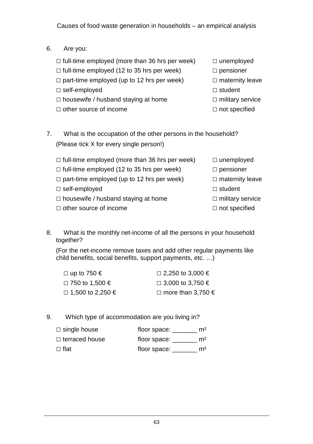- 6. Are you:
	- $\Box$  full-time employed (more than 36 hrs per week)  $\Box$  unemployed
	- $\Box$  full-time employed (12 to 35 hrs per week)  $\Box$  pensioner
	- $\Box$  part-time employed (up to 12 hrs per week)  $\Box$  maternity leave
	- □ self-employed □ student
	- □ housewife / husband staying at home □ military service
	- □ other source of income □ not specified
- 
- 
- 
- 
- -

7. What is the occupation of the other persons in the household? (Please tick X for every single person!)

- $\Box$  full-time employed (more than 36 hrs per week)  $\Box$  unemployed  $\Box$  full-time employed (12 to 35 hrs per week)  $\Box$  pensioner  $\Box$  part-time employed (up to 12 hrs per week)  $\Box$  maternity leave □ self-employed □ student □ housewife / husband staying at home □ military service □ other source of income □ not specified
- 8. What is the monthly net-income of all the persons in your household together?

(For the net-income remove taxes and add other regular payments like child benefits, social benefits, support payments, etc. …)

| $\Box$ up to 750 €      | $\Box$ 2,250 to 3,000 €      |
|-------------------------|------------------------------|
| $\Box$ 750 to 1,500 €   | $\Box$ 3,000 to 3,750 €      |
| $\Box$ 1,500 to 2,250 € | □ more than 3,750 $\epsilon$ |

9. Which type of accommodation are you living in?

| $\Box$ single house   | floor space: | m <sup>2</sup> |
|-----------------------|--------------|----------------|
| $\Box$ terraced house | floor space: | m <sup>2</sup> |
| □ flat                | floor space: | m <sup>2</sup> |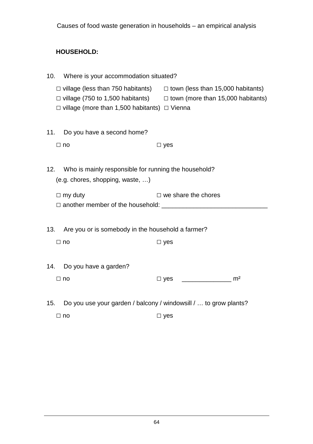# **HOUSEHOLD:**

| 10. | Where is your accommodation situated?                                                    |                                                                                                                                                                       |
|-----|------------------------------------------------------------------------------------------|-----------------------------------------------------------------------------------------------------------------------------------------------------------------------|
|     | $\Box$ village (more than 1,500 habitants) $\Box$ Vienna                                 | $\Box$ village (less than 750 habitants) $\Box$ town (less than 15,000 habitants)<br>$\Box$ village (750 to 1,500 habitants) $\Box$ town (more than 15,000 habitants) |
| 11. | Do you have a second home?                                                               |                                                                                                                                                                       |
|     | $\Box$ no                                                                                | $\square$ yes                                                                                                                                                         |
| 12. | Who is mainly responsible for running the household?<br>(e.g. chores, shopping, waste, ) |                                                                                                                                                                       |
|     | $\Box$ my duty                                                                           | $\Box$ we share the chores                                                                                                                                            |
| 13. | Are you or is somebody in the household a farmer?                                        |                                                                                                                                                                       |
|     | $\Box$ no                                                                                | $\square$ yes                                                                                                                                                         |
| 14. | Do you have a garden?<br>$\Box$ no                                                       | m <sup>2</sup><br>$\Box$ yes                                                                                                                                          |
| 15. | Do you use your garden / balcony / windowsill /  to grow plants?                         |                                                                                                                                                                       |
|     | $\Box$ no                                                                                | $\square$ yes                                                                                                                                                         |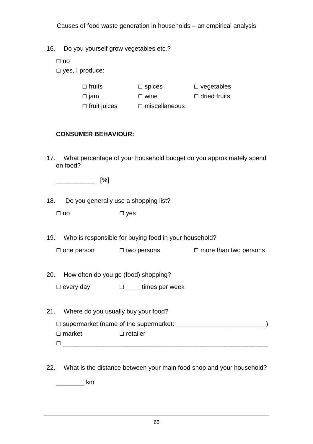|  | 16. |  |  | Do you yourself grow vegetables etc.? |
|--|-----|--|--|---------------------------------------|
|--|-----|--|--|---------------------------------------|

□ no

□ yes, I produce:

| $\Box$ fruits | $\Box$ spices | $\Box$ vegetables   |
|---------------|---------------|---------------------|
| $\Box$ jam    | $\Box$ wine   | $\Box$ dried fruits |

□ fruit juices □ miscellaneous

### **CONSUMER BEHAVIOUR:**

17. What percentage of your household budget do you approximately spend on food?

\_\_\_\_\_\_\_\_\_\_\_ [%]

18. Do you generally use a shopping list?

□ no □ yes

- 19. Who is responsible for buying food in your household?
	- $\Box$  one person  $\Box$  two persons  $\Box$  more than two persons
- 20. How often do you go (food) shopping?
	- □ every day □ times per week
- 21. Where do you usually buy your food? □ supermarket (name of the supermarket: \_\_\_\_\_\_\_\_\_\_\_\_\_\_\_\_\_\_\_\_\_\_\_\_\_ ) □ market □ retailer □ \_\_\_\_\_\_\_\_\_\_\_\_\_\_\_\_\_\_\_\_\_\_\_\_\_\_\_\_\_\_\_\_\_\_\_\_\_\_\_\_\_\_\_\_\_\_\_\_\_\_\_\_\_\_\_\_\_\_
- 22. What is the distance between your main food shop and your household?

 $\sim$  km  $\sim$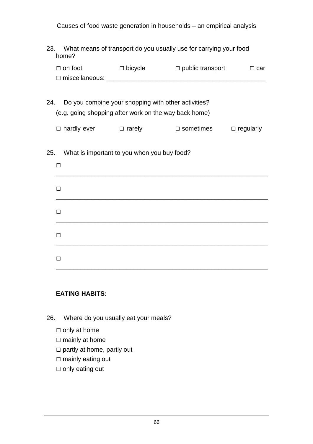| 23. | What means of transport do you usually use for carrying your food |
|-----|-------------------------------------------------------------------|
|     | home?                                                             |

|     | $\Box$ on foot                                        | $\Box$ bicycle $\Box$ public transport              | $\Box$ car       |
|-----|-------------------------------------------------------|-----------------------------------------------------|------------------|
| 24. | (e.g. going shopping after work on the way back home) | Do you combine your shopping with other activities? |                  |
|     | $\Box$ hardly ever $\Box$ rarely $\Box$ sometimes     |                                                     | $\Box$ regularly |
| 25. | П                                                     | What is important to you when you buy food?         |                  |
|     | П                                                     |                                                     |                  |
|     | П                                                     |                                                     |                  |
|     | П                                                     |                                                     |                  |
|     | П                                                     |                                                     |                  |

### **EATING HABITS:**

26. Where do you usually eat your meals?

- □ only at home
- □ mainly at home
- □ partly at home, partly out
- □ mainly eating out
- □ only eating out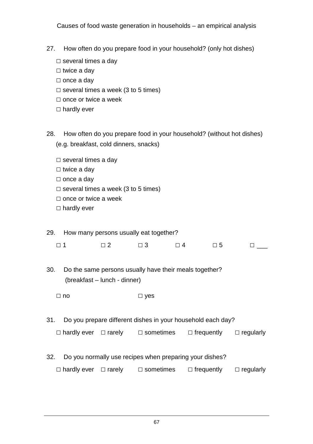- 27. How often do you prepare food in your household? (only hot dishes)
	- □ several times a day
	- □ twice a day
	- □ once a day
	- $\square$  several times a week (3 to 5 times)
	- □ once or twice a week
	- □ hardly ever
- 28. How often do you prepare food in your household? (without hot dishes) (e.g. breakfast, cold dinners, snacks)
	- □ several times a day
	- $\square$  twice a day
	- □ once a day
	- $\square$  several times a week (3 to 5 times)
	- □ once or twice a week
	- □ hardly ever

#### 29. How many persons usually eat together?

| $\Box$ 1 | $\Box$ $\Box$ 2 | $\Box$ 3 | $\Box$ 4 | $\Box$ 5 | $\Box$ |
|----------|-----------------|----------|----------|----------|--------|

- 30. Do the same persons usually have their meals together? (breakfast – lunch - dinner)
	- □ no □ yes
- 31. Do you prepare different dishes in your household each day?

| $\Box$ hardly ever $\Box$ rarely | $\Box$ sometimes | $\Box$ frequently | $\Box$ regularly |
|----------------------------------|------------------|-------------------|------------------|
|                                  |                  |                   |                  |

32. Do you normally use recipes when preparing your dishes?

| $\Box$ hardly ever $\Box$ rarely | $\Box$ sometimes | $\Box$ frequently | $\Box$ regularly |
|----------------------------------|------------------|-------------------|------------------|
|                                  |                  |                   |                  |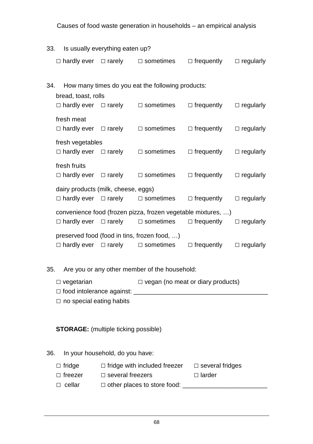| 33. | Is usually everything eaten up? |                                                  |                                             |                                                                                                                   |                                    |                  |
|-----|---------------------------------|--------------------------------------------------|---------------------------------------------|-------------------------------------------------------------------------------------------------------------------|------------------------------------|------------------|
|     |                                 |                                                  |                                             | $\Box$ hardly ever $\Box$ rarely $\Box$ sometimes                                                                 | $\Box$ frequently $\Box$ regularly |                  |
| 34. |                                 | bread, toast, rolls                              |                                             | How many times do you eat the following products:                                                                 |                                    |                  |
|     |                                 |                                                  |                                             | $\Box$ hardly ever $\Box$ rarely $\Box$ sometimes $\Box$ frequently $\Box$ regularly                              |                                    |                  |
|     |                                 | fresh meat                                       |                                             | $\Box$ hardly ever $\Box$ rarely $\Box$ sometimes $\Box$ frequently $\Box$ regularly                              |                                    |                  |
|     |                                 | fresh vegetables                                 |                                             | $\Box$ hardly ever $\Box$ rarely $\Box$ sometimes                                                                 | $\Box$ frequently                  | $\Box$ regularly |
|     |                                 | fresh fruits                                     |                                             | $\Box$ hardly ever $\Box$ rarely $\Box$ sometimes                                                                 | $\Box$ frequently $\Box$ regularly |                  |
|     |                                 |                                                  | dairy products (milk, cheese, eggs)         | $\Box$ hardly ever $\Box$ rarely $\Box$ sometimes $\Box$ frequently $\Box$ regularly                              |                                    |                  |
|     |                                 |                                                  |                                             | convenience food (frozen pizza, frozen vegetable mixtures, )<br>$\Box$ hardly ever $\Box$ rarely $\Box$ sometimes | $\Box$ frequently                  | $\Box$ regularly |
|     |                                 |                                                  |                                             | preserved food (food in tins, frozen food, )<br>$\Box$ hardly ever $\Box$ rarely $\Box$ sometimes                 | $\Box$ frequently                  | $\Box$ regularly |
| 35. |                                 |                                                  |                                             | Are you or any other member of the household:                                                                     |                                    |                  |
|     |                                 | $\Box$ vegetarian                                |                                             | $\Box$ vegan (no meat or diary products)                                                                          |                                    |                  |
|     |                                 | $\Box$ no special eating habits                  |                                             |                                                                                                                   |                                    |                  |
|     |                                 |                                                  | <b>STORAGE:</b> (multiple ticking possible) |                                                                                                                   |                                    |                  |
| 36. |                                 |                                                  | In your household, do you have:             |                                                                                                                   |                                    |                  |
|     |                                 | $\Box$ fridge<br>$\Box$ freezer<br>$\Box$ cellar | $\Box$ several freezers                     | $\Box$ fridge with included freezer $\Box$ several fridges                                                        | D larder                           |                  |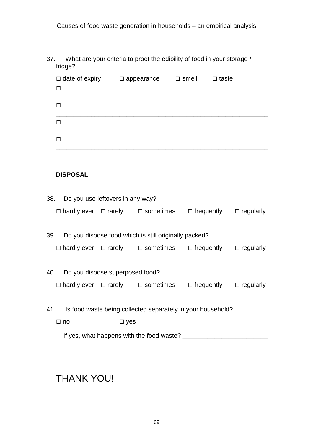#### 37. What are your criteria to proof the edibility of food in your storage / fridge?

| $\Box$ date of expiry<br>$\Box$ | $\Box$ appearance | $\Box$ smell | $\Box$ taste |
|---------------------------------|-------------------|--------------|--------------|
| П                               |                   |              |              |
| П                               |                   |              |              |
| П                               |                   |              |              |

#### **DISPOSAL**:

|     | 38. Do you use leftovers in any way? |            |                                                                                      |                                    |  |
|-----|--------------------------------------|------------|--------------------------------------------------------------------------------------|------------------------------------|--|
|     |                                      |            | $\Box$ hardly ever $\Box$ rarely $\Box$ sometimes                                    | $\Box$ frequently $\Box$ regularly |  |
|     |                                      |            |                                                                                      |                                    |  |
| 39. |                                      |            | Do you dispose food which is still originally packed?                                |                                    |  |
|     |                                      |            | $\Box$ hardly ever $\Box$ rarely $\Box$ sometimes $\Box$ frequently $\Box$ regularly |                                    |  |
|     |                                      |            |                                                                                      |                                    |  |
|     | 40. Do you dispose superposed food?  |            |                                                                                      |                                    |  |
|     |                                      |            | $\Box$ hardly ever $\Box$ rarely $\Box$ sometimes $\Box$ frequently $\Box$ regularly |                                    |  |
|     |                                      |            |                                                                                      |                                    |  |
|     |                                      |            | 41. Is food waste being collected separately in your household?                      |                                    |  |
|     | $\sqcup$ no                          | $\Box$ yes |                                                                                      |                                    |  |

If yes, what happens with the food waste? \_\_\_\_\_\_\_\_\_\_\_\_\_\_\_\_\_\_\_\_\_\_\_\_

# THANK YOU!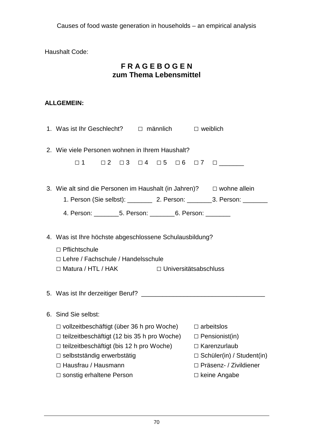Haushalt Code:

## **F R A G E B O G E N zum Thema Lebensmittel**

### **ALLGEMEIN:**

| 2. Wie viele Personen wohnen in Ihrem Haushalt?                                                                                                                                                                                                                 |  |                                                                                     |  |  |
|-----------------------------------------------------------------------------------------------------------------------------------------------------------------------------------------------------------------------------------------------------------------|--|-------------------------------------------------------------------------------------|--|--|
| $\Box$ 1                                                                                                                                                                                                                                                        |  | $\Box$ 2 $\Box$ 3 $\Box$ 4 $\Box$ 5 $\Box$ 6 $\Box$ 7 $\Box$                        |  |  |
| 3. Wie alt sind die Personen im Haushalt (in Jahren)? $\Box$ wohne allein                                                                                                                                                                                       |  |                                                                                     |  |  |
| 4. Person: _________5. Person: _________6. Person: _________                                                                                                                                                                                                    |  | 1. Person (Sie selbst): ___________ 2. Person: _________3. Person: __________       |  |  |
| 4. Was ist Ihre höchste abgeschlossene Schulausbildung?<br>□ Pflichtschule<br>□ Lehre / Fachschule / Handelsschule<br>□ Matura / HTL / HAK □ Universitätsabschluss                                                                                              |  |                                                                                     |  |  |
|                                                                                                                                                                                                                                                                 |  |                                                                                     |  |  |
| 6. Sind Sie selbst:                                                                                                                                                                                                                                             |  |                                                                                     |  |  |
| $\Box$ vollzeitbeschäftigt (über 36 h pro Woche) $\Box$ arbeitslos<br>$\Box$ teilzeitbeschäftigt (12 bis 35 h pro Woche) $\Box$ Pensionist(in)<br>$\Box$ teilzeitbeschäftigt (bis 12 h pro Woche)<br>$\Box$ selbstständig erwerbstätig<br>□ Hausfrau / Hausmann |  | $\Box$ Karenzurlaub<br>$\Box$ Schüler(in) / Student(in)<br>□ Präsenz- / Zivildiener |  |  |
| $\Box$ sonstig erhaltene Person                                                                                                                                                                                                                                 |  | $\Box$ keine Angabe                                                                 |  |  |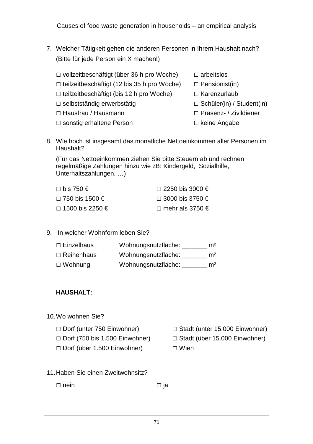- 7. Welcher Tätigkeit gehen die anderen Personen in Ihrem Haushalt nach? (Bitte für jede Person ein X machen!)
	- □ vollzeitbeschäftigt (über 36 h pro Woche) □ arbeitslos  $\Box$  teilzeitbeschäftigt (12 bis 35 h pro Woche)  $\Box$  Pensionist(in)
	- □ teilzeitbeschäftigt (bis 12 h pro Woche) □ Karenzurlaub
	-
	- □ Hausfrau / Hausmann □ □ Präsenz- / Zivildiener
	- □ sonstig erhaltene Person □ □ keine Angabe
- 
- 
- - □ selbstständig erwerbstätig □ Schüler(in) / Student(in)
		-
		-
- 8. Wie hoch ist insgesamt das monatliche Nettoeinkommen aller Personen im Haushalt?

(Für das Nettoeinkommen ziehen Sie bitte Steuern ab und rechnen regelmäßige Zahlungen hinzu wie zB: Kindergeld, Sozialhilfe, Unterhaltszahlungen, …)

| $□$ bis 750 €          | $\Box$ 2250 bis 3000 €     |
|------------------------|----------------------------|
| $\Box$ 750 bis 1500 €  | $\Box$ 3000 bis 3750 €     |
| $\Box$ 1500 bis 2250 € | □ mehr als 3750 $\epsilon$ |

9. In welcher Wohnform leben Sie?

| $\Box$ Einzelhaus | Wohnungsnutzfläche: | m <sup>2</sup> |
|-------------------|---------------------|----------------|
| $\Box$ Reihenhaus | Wohnungsnutzfläche: | m <sup>2</sup> |
| $\Box$ Wohnung    | Wohnungsnutzfläche: | m <sup>2</sup> |

### **HAUSHALT:**

- 10. Wo wohnen Sie?
	-
	- □ Dorf (750 bis 1.500 Einwohner) □ Stadt (über 15.000 Einwohner)

□ Dorf (über 1.500 Einwohner) □ Wien

- □ Dorf (unter 750 Einwohner) □ Stadt (unter 15.000 Einwohner)
	-
	-
- 11. Haben Sie einen Zweitwohnsitz?

□ nein □ ja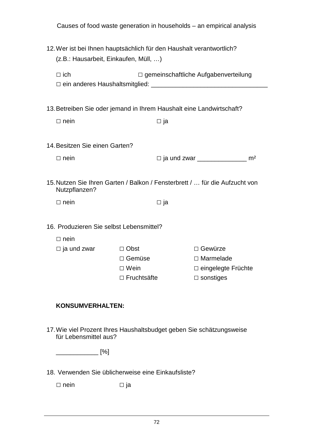|                                                                                                               | Causes of food waste generation in households - an empirical analysis |                      |  |  |  |
|---------------------------------------------------------------------------------------------------------------|-----------------------------------------------------------------------|----------------------|--|--|--|
| 12. Wer ist bei Ihnen hauptsächlich für den Haushalt verantwortlich?<br>(z.B.: Hausarbeit, Einkaufen, Müll, ) |                                                                       |                      |  |  |  |
| $\Box$ ich                                                                                                    | $\Box$ gemeinschaftliche Aufgabenverteilung                           |                      |  |  |  |
| 13. Betreiben Sie oder jemand in Ihrem Haushalt eine Landwirtschaft?                                          |                                                                       |                      |  |  |  |
| $\Box$ nein                                                                                                   | $\square$ ja                                                          |                      |  |  |  |
|                                                                                                               |                                                                       |                      |  |  |  |
| 14. Besitzen Sie einen Garten?                                                                                |                                                                       |                      |  |  |  |
| $\Box$ nein                                                                                                   |                                                                       |                      |  |  |  |
|                                                                                                               |                                                                       |                      |  |  |  |
| 15. Nutzen Sie Ihren Garten / Balkon / Fensterbrett /  für die Aufzucht von<br>Nutzpflanzen?                  |                                                                       |                      |  |  |  |
| $\Box$ nein                                                                                                   | $\square$ ja                                                          |                      |  |  |  |
|                                                                                                               |                                                                       |                      |  |  |  |
| 16. Produzieren Sie selbst Lebensmittel?                                                                      |                                                                       |                      |  |  |  |
| $\Box$ nein                                                                                                   |                                                                       |                      |  |  |  |
| $\Box$ ja und zwar                                                                                            | □ Obst                                                                | $\Box$ Gewürze       |  |  |  |
|                                                                                                               | □ Gemüse                                                              | $\Box$ Marmelade     |  |  |  |
|                                                                                                               | $\Box$ Wein                                                           | □ eingelegte Früchte |  |  |  |
|                                                                                                               | $\Box$ Fruchtsäfte                                                    | $\Box$ sonstiges     |  |  |  |
|                                                                                                               |                                                                       |                      |  |  |  |
| <b>KONSUMVERHALTEN:</b>                                                                                       |                                                                       |                      |  |  |  |

17. Wie viel Prozent Ihres Haushaltsbudget geben Sie schätzungsweise für Lebensmittel aus?

\_\_\_\_\_\_\_\_\_\_\_\_ [%]

18. Verwenden Sie üblicherweise eine Einkaufsliste?

□ nein □ ja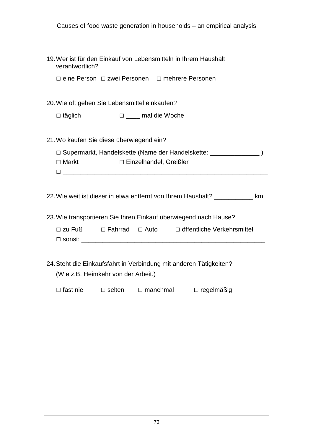| Causes of food waste generation in households – an empirical analysis                                           |  |  |  |  |  |
|-----------------------------------------------------------------------------------------------------------------|--|--|--|--|--|
| 19. Wer ist für den Einkauf von Lebensmitteln in Ihrem Haushalt<br>verantwortlich?                              |  |  |  |  |  |
| □ eine Person □ zwei Personen □ mehrere Personen                                                                |  |  |  |  |  |
| 20. Wie oft gehen Sie Lebensmittel einkaufen?                                                                   |  |  |  |  |  |
| $\Box$ täglich<br>□ ____ mal die Woche                                                                          |  |  |  |  |  |
| 21. Wo kaufen Sie diese überwiegend ein?                                                                        |  |  |  |  |  |
| □ Supermarkt, Handelskette (Name der Handelskette: _______________)<br>$\Box$ Markt<br>□ Einzelhandel, Greißler |  |  |  |  |  |
| 22. Wie weit ist dieser in etwa entfernt von Ihrem Haushalt? ___________ km                                     |  |  |  |  |  |
| 23. Wie transportieren Sie Ihren Einkauf überwiegend nach Hause?                                                |  |  |  |  |  |
| $\Box$ zu Fuß $\Box$ Fahrrad $\Box$ Auto $\Box$ öffentliche Verkehrsmittel                                      |  |  |  |  |  |
| 24. Steht die Einkaufsfahrt in Verbindung mit anderen Tätigkeiten?<br>(Wie z.B. Heimkehr von der Arbeit.)       |  |  |  |  |  |
| $\Box$ fast nie<br>$\Box$ selten<br>$\Box$ manchmal<br>$\Box$ regelmäßig                                        |  |  |  |  |  |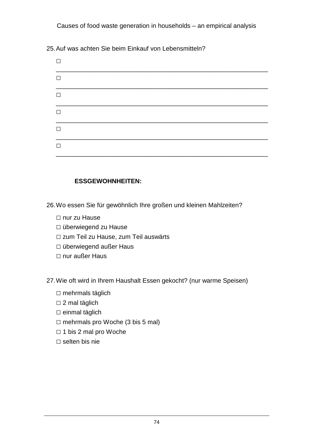25. Auf was achten Sie beim Einkauf von Lebensmitteln?

| $\Box$ |  |  |
|--------|--|--|
| $\Box$ |  |  |
| П      |  |  |
| $\Box$ |  |  |
| $\Box$ |  |  |
| П      |  |  |

### **ESSGEWOHNHEITEN:**

- 26. Wo essen Sie für gewöhnlich Ihre großen und kleinen Mahlzeiten?
	- □ nur zu Hause
	- □ überwiegend zu Hause
	- □ zum Teil zu Hause, zum Teil auswärts
	- □ überwiegend außer Haus
	- □ nur außer Haus
- 27. Wie oft wird in Ihrem Haushalt Essen gekocht? (nur warme Speisen)
	- $\square$  mehrmals täglich
	- $\square$  2 mal täglich
	- $\square$  einmal täglich
	- $\square$  mehrmals pro Woche (3 bis 5 mal)
	- □ 1 bis 2 mal pro Woche
	- □ selten bis nie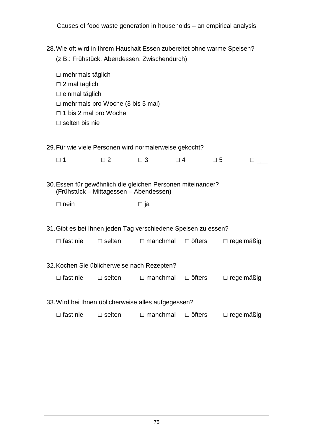| 28. Wie oft wird in Ihrem Haushalt Essen zubereitet ohne warme Speisen?<br>(z.B.: Frühstück, Abendessen, Zwischendurch)                                                      |                                        |                               |               |                                                                               |  |
|------------------------------------------------------------------------------------------------------------------------------------------------------------------------------|----------------------------------------|-------------------------------|---------------|-------------------------------------------------------------------------------|--|
| $\Box$ mehrmals täglich<br>$\Box$ 2 mal täglich<br>$\Box$ einmal täglich<br>$\Box$ mehrmals pro Woche (3 bis 5 mal)<br>$\Box$ 1 bis 2 mal pro Woche<br>$\Box$ selten bis nie |                                        |                               |               |                                                                               |  |
| 29. Für wie viele Personen wird normalerweise gekocht?                                                                                                                       |                                        |                               |               |                                                                               |  |
| $\square$ 1                                                                                                                                                                  | $\Box$ 2                               | $\Box$ 3                      | $\Box$ 4      | $\square$ 5<br><b>The Common</b>                                              |  |
| 30. Essen für gewöhnlich die gleichen Personen miteinander?                                                                                                                  | (Frühstück – Mittagessen – Abendessen) |                               |               |                                                                               |  |
| $\Box$ nein                                                                                                                                                                  |                                        | □ ja                          |               |                                                                               |  |
| 31. Gibt es bei Ihnen jeden Tag verschiedene Speisen zu essen?                                                                                                               |                                        |                               |               |                                                                               |  |
| $\Box$ fast nie                                                                                                                                                              | $\Box$ selten                          | $\Box$ manchmal $\Box$ öfters |               | $\Box$ regelmäßig                                                             |  |
| 32. Kochen Sie üblicherweise nach Rezepten?                                                                                                                                  |                                        |                               |               |                                                                               |  |
|                                                                                                                                                                              |                                        |                               |               | $\Box$ fast nie $\Box$ selten $\Box$ manchmal $\Box$ öfters $\Box$ regelmäßig |  |
| 33. Wird bei Ihnen üblicherweise alles aufgegessen?<br>$\Box$ fast nie                                                                                                       | $\Box$ selten                          | $\Box$ manchmal               | $\Box$ öfters | $\Box$ regelmäßig                                                             |  |
|                                                                                                                                                                              |                                        |                               |               |                                                                               |  |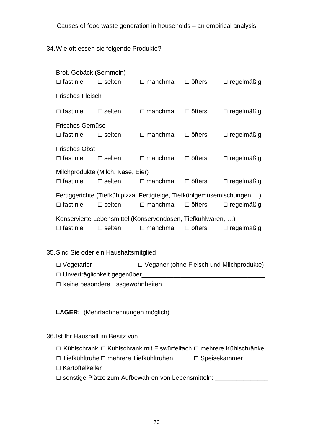34. Wie oft essen sie folgende Produkte?

| Brot, Gebäck (Semmeln)  |                                                             |                                                                        |               |                   |  |  |
|-------------------------|-------------------------------------------------------------|------------------------------------------------------------------------|---------------|-------------------|--|--|
| $\Box$ fast nie         | $\Box$ selten                                               | $\Box$ manchmal                                                        | $\Box$ öfters | $\Box$ regelmäßig |  |  |
| <b>Frisches Fleisch</b> |                                                             |                                                                        |               |                   |  |  |
| $\Box$ fast nie         | $\Box$ selten                                               | $\Box$ manchmal                                                        | $\Box$ öfters | $\Box$ regelmäßig |  |  |
| <b>Frisches Gemüse</b>  |                                                             |                                                                        |               |                   |  |  |
| $\Box$ fast nie         | $\Box$ selten                                               | $\Box$ manchmal                                                        | $\Box$ öfters | $\Box$ regelmäßig |  |  |
| <b>Frisches Obst</b>    |                                                             |                                                                        |               |                   |  |  |
| $\Box$ fast nie         | $\Box$ selten                                               | $\Box$ manchmal                                                        | $\Box$ öfters | $\Box$ regelmäßig |  |  |
|                         | Milchprodukte (Milch, Käse, Eier)                           |                                                                        |               |                   |  |  |
| $\Box$ fast nie         | $\Box$ selten                                               | $\Box$ manchmal                                                        | $\Box$ öfters | $\Box$ regelmäßig |  |  |
|                         |                                                             | Fertiggerichte (Tiefkühlpizza, Fertigteige, Tiefkühlgemüsemischungen,) |               |                   |  |  |
| $\Box$ fast nie         | $\Box$ selten                                               | $\Box$ manchmal                                                        | $\Box$ öfters | $\Box$ regelmäßig |  |  |
|                         | Konservierte Lebensmittel (Konservendosen, Tiefkühlwaren, ) |                                                                        |               |                   |  |  |
| $\Box$ fast nie         | $\Box$ selten                                               | $\Box$ manchmal                                                        | $\Box$ öfters | $\Box$ regelmäßig |  |  |

35. Sind Sie oder ein Haushaltsmitglied

□ Vegetarier □ Veganer (ohne Fleisch und Milchprodukte) □ Unverträglichkeit gegenüber\_\_\_\_\_\_\_\_\_\_\_\_\_\_\_\_\_\_\_\_\_\_\_\_\_\_\_\_\_\_\_\_\_\_\_

□ keine besondere Essgewohnheiten

**LAGER:** (Mehrfachnennungen möglich)

36. Ist Ihr Haushalt im Besitz von

- □ Kühlschrank □ Kühlschrank mit Eiswürfelfach □ mehrere Kühlschränke
- □ Tiefkühltruhe □ mehrere Tiefkühltruhen □ Speisekammer
- □ Kartoffelkeller
- □ sonstige Plätze zum Aufbewahren von Lebensmitteln: \_\_\_\_\_\_\_\_\_\_\_\_\_\_\_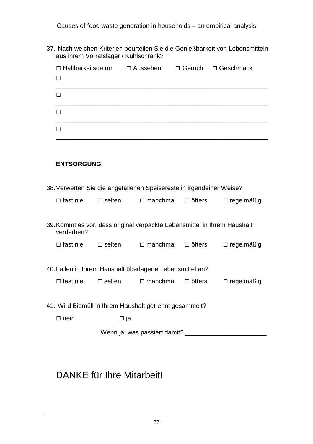37. Nach welchen Kriterien beurteilen Sie die Genießbarkeit von Lebensmitteln aus ihrem Vorratslager / Kühlschrank?

| $\Box$ Haltbarkeitsdatum<br>$\Box$                                    |                  | □ Aussehen                   |                               | $\Box$ Geruch $\Box$ Geschmack                                           |  |
|-----------------------------------------------------------------------|------------------|------------------------------|-------------------------------|--------------------------------------------------------------------------|--|
| $\Box$                                                                |                  |                              |                               |                                                                          |  |
| $\Box$                                                                |                  |                              |                               |                                                                          |  |
| П                                                                     |                  |                              |                               |                                                                          |  |
|                                                                       |                  |                              |                               |                                                                          |  |
| <b>ENTSORGUNG:</b>                                                    |                  |                              |                               |                                                                          |  |
| 38. Verwerten Sie die angefallenen Speisereste in irgendeiner Weise?  |                  |                              |                               |                                                                          |  |
| $\Box$ fast nie                                                       | $\Box$ selten    |                              | $\Box$ manchmal $\Box$ öfters | $\Box$ regelmäßig                                                        |  |
| verderben?                                                            |                  |                              |                               | 39. Kommt es vor, dass original verpackte Lebensmittel in Ihrem Haushalt |  |
| $\Box$ fast nie $\Box$ selten $\Box$ manchmal $\Box$ öfters           |                  |                              |                               | $\Box$ regelmäßig                                                        |  |
| 40. Fallen in Ihrem Haushalt überlagerte Lebensmittel an?             |                  |                              |                               |                                                                          |  |
| $\Box$ fast nie                                                       | $\square$ selten | $\Box$ manchmal              | $\Box$ öfters                 | $\Box$ regelmäßig                                                        |  |
| 41. Wird Biomüll in Ihrem Haushalt getrennt gesammelt?<br>$\Box$ nein |                  | $\square$ ja                 |                               |                                                                          |  |
|                                                                       |                  |                              |                               |                                                                          |  |
|                                                                       |                  | Wenn ja: was passiert damit? |                               |                                                                          |  |

# DANKE für Ihre Mitarbeit!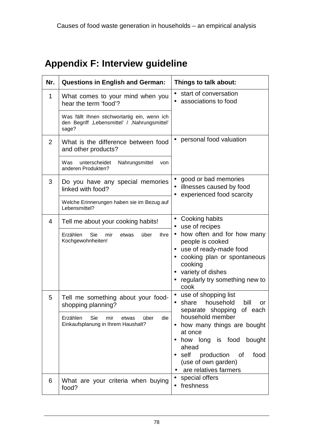# **Appendix F: Interview guideline**

| Nr. | <b>Questions in English and German:</b>                                                                 | Things to talk about:                                                                                                                                                                 |
|-----|---------------------------------------------------------------------------------------------------------|---------------------------------------------------------------------------------------------------------------------------------------------------------------------------------------|
| 1   | What comes to your mind when you<br>hear the term 'food'?                                               | • start of conversation<br>associations to food                                                                                                                                       |
|     | Was fällt Ihnen stichwortartig ein, wenn ich<br>den Begriff, Lebensmittel' / , Nahrungsmittel'<br>sage? |                                                                                                                                                                                       |
| 2   | What is the difference between food<br>and other products?                                              | personal food valuation                                                                                                                                                               |
|     | Was<br>unterscheidet<br>Nahrungsmittel<br>von<br>anderen Produkten?                                     |                                                                                                                                                                                       |
| 3   | Do you have any special memories<br>linked with food?                                                   | good or bad memories<br>illnesses caused by food<br>experienced food scarcity                                                                                                         |
|     | Welche Erinnerungen haben sie im Bezug auf<br>Lebensmittel?                                             |                                                                                                                                                                                       |
| 4   | Tell me about your cooking habits!                                                                      | Cooking habits<br>use of recipes                                                                                                                                                      |
|     | über<br>Erzählen<br>Sie<br><b>Ihre</b><br>mir<br>etwas<br>Kochgewohnheiten!                             | how often and for how many<br>people is cooked<br>• use of ready-made food<br>cooking plan or spontaneous<br>cooking<br>• variety of dishes<br>regularly try something new to<br>cook |
| 5   | Tell me something about your food-<br>shopping planning?                                                | use of shopping list<br>household<br>share<br>bill<br>or<br>$\bullet$<br>of each<br>separate shopping                                                                                 |
|     | Erzählen<br>Sie<br>über<br>die<br>mir<br>etwas<br>Einkaufsplanung in Ihrem Haushalt?                    | household member<br>how many things are bought<br>at once<br>how long is food<br>bought<br>ahead<br>self production of<br>food<br>(use of own garden)<br>are relatives farmers        |
| 6   | What are your criteria when buying<br>food?                                                             | special offers<br>$\bullet$<br>freshness<br>$\bullet$                                                                                                                                 |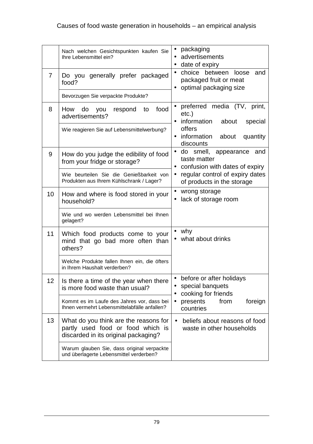|    | Nach welchen Gesichtspunkten kaufen Sie<br>Ihre Lebensmittel ein?                                                  | packaging<br>advertisements<br>date of expiry                                              |
|----|--------------------------------------------------------------------------------------------------------------------|--------------------------------------------------------------------------------------------|
| 7  | Do you generally prefer packaged<br>food?                                                                          | choice between<br>loose<br>and<br>packaged fruit or meat<br>optimal packaging size         |
|    | Bevorzugen Sie verpackte Produkte?                                                                                 |                                                                                            |
| 8  | food<br>How<br>respond to<br>do<br>you<br>advertisements?                                                          | preferred media (TV, print,<br>$etc.$ )<br>information<br>about<br>special                 |
|    | Wie reagieren Sie auf Lebensmittelwerbung?                                                                         | offers<br>information<br>about<br>quantity<br>discounts                                    |
| 9  | How do you judge the edibility of food<br>from your fridge or storage?                                             | do smell, appearance<br>and<br>$\bullet$<br>taste matter<br>confusion with dates of expiry |
|    | Wie beurteilen Sie die Genießbarkeit von<br>Produkten aus Ihrem Kühlschrank / Lager?                               | regular control of expiry dates<br>٠<br>of products in the storage                         |
| 10 | How and where is food stored in your<br>household?                                                                 | wrong storage<br>lack of storage room                                                      |
|    | Wie und wo werden Lebensmittel bei Ihnen<br>gelagert?                                                              |                                                                                            |
| 11 | Which food products come to your<br>mind that go bad more often than<br>others?                                    | why<br>what about drinks                                                                   |
|    | Welche Produkte fallen Ihnen ein, die öfters<br>in Ihrem Haushalt verderben?                                       |                                                                                            |
| 12 | Is there a time of the year when there<br>is more food waste than usual?                                           | before or after holidays<br>$\bullet$<br>special banquets<br>cooking for friends           |
|    | Kommt es im Laufe des Jahres vor, dass bei<br>Ihnen vermehrt Lebensmittelabfälle anfallen?                         | foreign<br>presents<br>from<br>$\bullet$<br>countries                                      |
| 13 | What do you think are the reasons for<br>partly used food or food which is<br>discarded in its original packaging? | beliefs about reasons of food<br>$\bullet$<br>waste in other households                    |
|    | Warum glauben Sie, dass original verpackte<br>und überlagerte Lebensmittel verderben?                              |                                                                                            |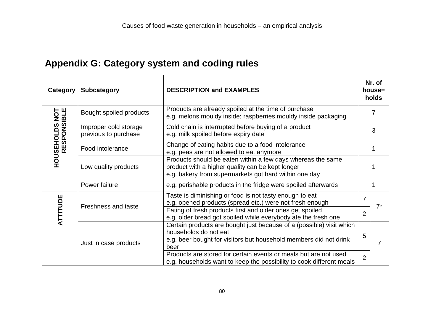# **Appendix G: Category system and coding rules**

| Category                              | <b>Subcategory</b>                                                                                                                                                                                                                                                               | <b>DESCRIPTION and EXAMPLES</b>                                                                                                                                                                                                                                                                                        |                     | Nr. of<br>house=<br>holds |  |
|---------------------------------------|----------------------------------------------------------------------------------------------------------------------------------------------------------------------------------------------------------------------------------------------------------------------------------|------------------------------------------------------------------------------------------------------------------------------------------------------------------------------------------------------------------------------------------------------------------------------------------------------------------------|---------------------|---------------------------|--|
|                                       | Bought spoiled products                                                                                                                                                                                                                                                          | Products are already spoiled at the time of purchase<br>e.g. melons mouldy inside; raspberries mouldy inside packaging                                                                                                                                                                                                 |                     | 7                         |  |
| <b>HOUSEHOLDS NOT<br/>RESPONSIBLE</b> | Cold chain is interrupted before buying of a product<br>Improper cold storage<br>e.g. milk spoiled before expiry date<br>previous to purchase                                                                                                                                    |                                                                                                                                                                                                                                                                                                                        |                     | 3                         |  |
|                                       | Change of eating habits due to a food intolerance<br>Food intolerance<br>e.g. peas are not allowed to eat anymore                                                                                                                                                                |                                                                                                                                                                                                                                                                                                                        |                     |                           |  |
|                                       | Low quality products                                                                                                                                                                                                                                                             | Products should be eaten within a few days whereas the same<br>product with a higher quality can be kept longer<br>e.g. bakery from supermarkets got hard within one day                                                                                                                                               |                     |                           |  |
|                                       | Power failure                                                                                                                                                                                                                                                                    | e.g. perishable products in the fridge were spoiled afterwards                                                                                                                                                                                                                                                         |                     |                           |  |
| ATTITUDE                              | Taste is diminishing or food is not tasty enough to eat<br>e.g. opened products (spread etc.) were not fresh enough<br><b>Freshness and taste</b><br>Eating of fresh products first and older ones get spoiled<br>e.g. older bread got spoiled while everybody ate the fresh one |                                                                                                                                                                                                                                                                                                                        | 7<br>$\overline{2}$ | $7^*$                     |  |
|                                       | Just in case products                                                                                                                                                                                                                                                            | Certain products are bought just because of a (possible) visit which<br>households do not eat<br>e.g. beer bought for visitors but household members did not drink<br>beer<br>Products are stored for certain events or meals but are not used<br>e.g. households want to keep the possibility to cook different meals |                     | 7                         |  |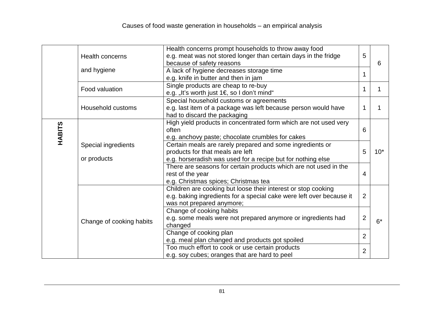|               |                                      | Health concerns prompt households to throw away food                 |                |       |
|---------------|--------------------------------------|----------------------------------------------------------------------|----------------|-------|
|               | <b>Health concerns</b>               | e.g. meat was not stored longer than certain days in the fridge      | 5              |       |
|               |                                      | because of safety reasons                                            |                | 6     |
|               | and hygiene                          | A lack of hygiene decreases storage time                             | 1              |       |
|               | e.g. knife in butter and then in jam |                                                                      |                |       |
|               | Food valuation                       | Single products are cheap to re-buy                                  | 1              |       |
|               |                                      | e.g. "It's worth just 1€, so I don't mind"                           |                |       |
|               |                                      | Special household customs or agreements                              |                |       |
|               | Household customs                    | e.g. last item of a package was left because person would have       |                |       |
|               |                                      | had to discard the packaging                                         |                |       |
|               |                                      | High yield products in concentrated form which are not used very     |                |       |
|               |                                      | often                                                                | 6              |       |
| <b>HABITS</b> |                                      | e.g. anchovy paste; chocolate crumbles for cakes                     |                |       |
|               | Special ingredients                  | Certain meals are rarely prepared and some ingredients or            |                |       |
|               |                                      | products for that meals are left                                     | 5              | $10*$ |
|               | or products                          | e.g. horseradish was used for a recipe but for nothing else          |                |       |
|               |                                      | There are seasons for certain products which are not used in the     |                |       |
|               |                                      | rest of the year                                                     | 4              |       |
|               |                                      | e.g. Christmas spices; Christmas tea                                 |                |       |
|               |                                      | Children are cooking but loose their interest or stop cooking        |                |       |
|               |                                      | e.g. baking ingredients for a special cake were left over because it | $\overline{2}$ |       |
|               |                                      | was not prepared anymore;                                            |                |       |
|               |                                      | Change of cooking habits                                             |                |       |
|               | Change of cooking habits             | e.g. some meals were not prepared anymore or ingredients had         | $\overline{2}$ | $6*$  |
|               |                                      | changed                                                              |                |       |
|               |                                      | Change of cooking plan                                               | $\overline{2}$ |       |
|               |                                      | e.g. meal plan changed and products got spoiled                      |                |       |
|               |                                      | Too much effort to cook or use certain products                      | $\overline{2}$ |       |
|               |                                      | e.g. soy cubes; oranges that are hard to peel                        |                |       |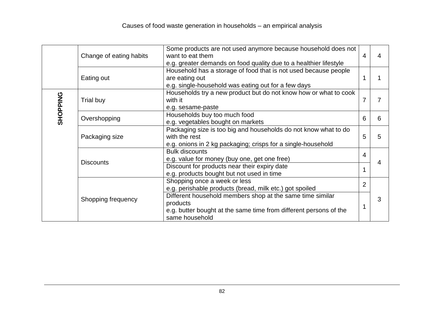|                 |                         | Some products are not used anymore because household does not     |                |   |
|-----------------|-------------------------|-------------------------------------------------------------------|----------------|---|
|                 | Change of eating habits | want to eat them                                                  | 4              | 4 |
|                 |                         | e.g. greater demands on food quality due to a healthier lifestyle |                |   |
|                 | Eating out              | Household has a storage of food that is not used because people   |                |   |
|                 |                         | are eating out                                                    |                |   |
|                 |                         | e.g. single-household was eating out for a few days               |                |   |
|                 | Trial buy               | Households try a new product but do not know how or what to cook  | 7              | 7 |
|                 |                         | with it                                                           |                |   |
|                 |                         | e.g. sesame-paste                                                 |                |   |
| <b>SHOPPING</b> | Overshopping            | Households buy too much food                                      | 6              | 6 |
|                 |                         | e.g. vegetables bought on markets                                 |                |   |
|                 | Packaging size          | Packaging size is too big and households do not know what to do   | 5              | 5 |
|                 |                         | with the rest                                                     |                |   |
|                 |                         | e.g. onions in 2 kg packaging; crisps for a single-household      |                |   |
|                 | <b>Discounts</b>        | <b>Bulk discounts</b>                                             | 4              | 4 |
|                 |                         | e.g. value for money (buy one, get one free)                      |                |   |
|                 |                         | Discount for products near their expiry date                      |                |   |
|                 |                         | e.g. products bought but not used in time                         |                |   |
|                 | Shopping frequency      | Shopping once a week or less                                      | $\overline{2}$ |   |
|                 |                         | e.g. perishable products (bread, milk etc.) got spoiled           |                |   |
|                 |                         | Different household members shop at the same time similar         |                | 3 |
|                 |                         | products                                                          |                |   |
|                 |                         | e.g. butter bought at the same time from different persons of the |                |   |
|                 |                         | same household                                                    |                |   |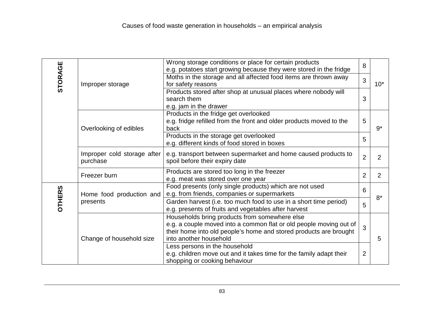| <b>STORAGE</b> | Improper storage                        | Wrong storage conditions or place for certain products              | 8              |                |
|----------------|-----------------------------------------|---------------------------------------------------------------------|----------------|----------------|
|                |                                         | e.g. potatoes start growing because they were stored in the fridge  |                |                |
|                |                                         | Moths in the storage and all affected food items are thrown away    | 3              |                |
|                |                                         | for safety reasons                                                  |                | $10*$          |
|                |                                         | Products stored after shop at unusual places where nobody will      |                |                |
|                |                                         | search them                                                         | 3              |                |
|                |                                         | e.g. jam in the drawer                                              |                |                |
|                | Overlooking of edibles                  | Products in the fridge get overlooked                               |                |                |
|                |                                         | e.g. fridge refilled from the front and older products moved to the | 5              |                |
|                |                                         | back                                                                |                | $9^*$          |
|                |                                         | Products in the storage get overlooked                              |                |                |
|                |                                         | e.g. different kinds of food stored in boxes                        | 5              |                |
|                |                                         |                                                                     |                |                |
|                | Improper cold storage after<br>purchase | e.g. transport between supermarket and home caused products to      | $\overline{2}$ | $\overline{2}$ |
|                |                                         | spoil before their expiry date                                      |                |                |
|                | Freezer burn                            | Products are stored too long in the freezer                         | $\overline{2}$ | 2              |
|                |                                         | e.g. meat was stored over one year                                  |                |                |
|                | Home food production and<br>presents    | Food presents (only single products) which are not used             | 6              | $8*$           |
| <b>OTHERS</b>  |                                         | e.g. from friends, companies or supermarkets                        |                |                |
|                |                                         | Garden harvest (i.e. too much food to use in a short time period)   | 5              |                |
|                |                                         | e.g. presents of fruits and vegetables after harvest                |                |                |
|                | Change of household size                | Households bring products from somewhere else                       |                |                |
|                |                                         | e.g. a couple moved into a common flat or old people moving out of  | 3              |                |
|                |                                         | their home into old people's home and stored products are brought   |                |                |
|                |                                         | into another household                                              |                | 5              |
|                |                                         | Less persons in the household                                       |                |                |
|                |                                         | e.g. children move out and it takes time for the family adapt their | $\overline{2}$ |                |
|                |                                         | shopping or cooking behaviour                                       |                |                |
|                |                                         |                                                                     |                |                |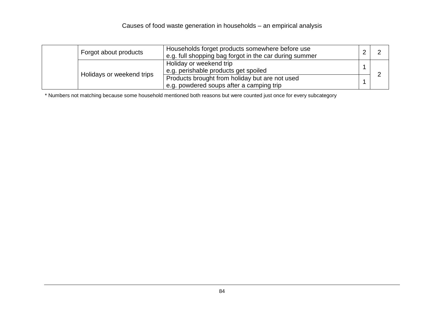| Forgot about products     | Households forget products somewhere before use<br>e.g. full shopping bag forgot in the car during summer |  |
|---------------------------|-----------------------------------------------------------------------------------------------------------|--|
| Holidays or weekend trips | Holiday or weekend trip<br>e.g. perishable products get spoiled                                           |  |
|                           | Products brought from holiday but are not used<br>e.g. powdered soups after a camping trip                |  |

\* Numbers not matching because some household mentioned both reasons but were counted just once for every subcategory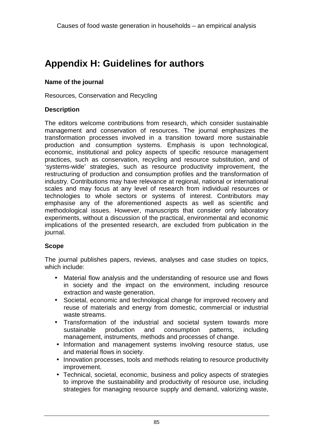# **Appendix H: Guidelines for authors**

#### **Name of the journal**

Resources, Conservation and Recycling

#### **Description**

The editors welcome contributions from research, which consider sustainable management and conservation of resources. The journal emphasizes the transformation processes involved in a transition toward more sustainable production and consumption systems. Emphasis is upon technological, economic, institutional and policy aspects of specific resource management practices, such as conservation, recycling and resource substitution, and of 'systems-wide' strategies, such as resource productivity improvement, the restructuring of production and consumption profiles and the transformation of industry. Contributions may have relevance at regional, national or international scales and may focus at any level of research from individual resources or technologies to whole sectors or systems of interest. Contributors may emphasise any of the aforementioned aspects as well as scientific and methodological issues. However, manuscripts that consider only laboratory experiments, without a discussion of the practical, environmental and economic implications of the presented research, are excluded from publication in the journal.

#### **Scope**

The journal publishes papers, reviews, analyses and case studies on topics, which include:

- Material flow analysis and the understanding of resource use and flows in society and the impact on the environment, including resource extraction and waste generation.
- Societal, economic and technological change for improved recovery and reuse of materials and energy from domestic, commercial or industrial waste streams.
- Transformation of the industrial and societal system towards more sustainable production and consumption patterns, including management, instruments, methods and processes of change.
- Information and management systems involving resource status, use and material flows in society.
- Innovation processes, tools and methods relating to resource productivity improvement.
- Technical, societal, economic, business and policy aspects of strategies to improve the sustainability and productivity of resource use, including strategies for managing resource supply and demand, valorizing waste,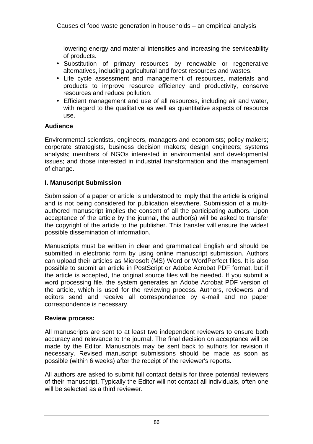lowering energy and material intensities and increasing the serviceability of products.

- Substitution of primary resources by renewable or regenerative alternatives, including agricultural and forest resources and wastes.
- Life cycle assessment and management of resources, materials and products to improve resource efficiency and productivity, conserve resources and reduce pollution.
- Efficient management and use of all resources, including air and water, with regard to the qualitative as well as quantitative aspects of resource use.

#### **Audience**

Environmental scientists, engineers, managers and economists; policy makers; corporate strategists, business decision makers; design engineers; systems analysts; members of NGOs interested in environmental and developmental issues; and those interested in industrial transformation and the management of change.

#### **I. Manuscript Submission**

Submission of a paper or article is understood to imply that the article is original and is not being considered for publication elsewhere. Submission of a multiauthored manuscript implies the consent of all the participating authors. Upon acceptance of the article by the journal, the author(s) will be asked to transfer the copyright of the article to the publisher. This transfer will ensure the widest possible dissemination of information.

Manuscripts must be written in clear and grammatical English and should be submitted in electronic form by using online manuscript submission. Authors can upload their articles as Microsoft (MS) Word or WordPerfect files. It is also possible to submit an article in PostScript or Adobe Acrobat PDF format, but if the article is accepted, the original source files will be needed. If you submit a word processing file, the system generates an Adobe Acrobat PDF version of the article, which is used for the reviewing process. Authors, reviewers, and editors send and receive all correspondence by e-mail and no paper correspondence is necessary.

#### **Review process:**

All manuscripts are sent to at least two independent reviewers to ensure both accuracy and relevance to the journal. The final decision on acceptance will be made by the Editor. Manuscripts may be sent back to authors for revision if necessary. Revised manuscript submissions should be made as soon as possible (within 6 weeks) after the receipt of the reviewer's reports.

All authors are asked to submit full contact details for three potential reviewers of their manuscript. Typically the Editor will not contact all individuals, often one will be selected as a third reviewer.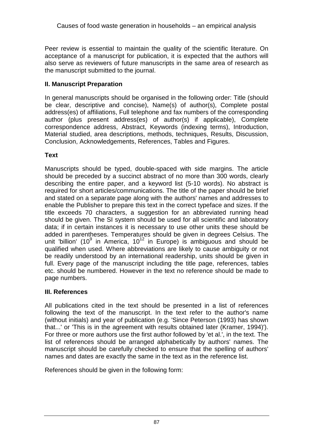Peer review is essential to maintain the quality of the scientific literature. On acceptance of a manuscript for publication, it is expected that the authors will also serve as reviewers of future manuscripts in the same area of research as the manuscript submitted to the journal.

#### **II. Manuscript Preparation**

In general manuscripts should be organised in the following order: Title (should be clear, descriptive and concise), Name(s) of author(s), Complete postal address(es) of affiliations, Full telephone and fax numbers of the corresponding author (plus present address(es) of author(s) if applicable), Complete correspondence address, Abstract, Keywords (indexing terms), Introduction, Material studied, area descriptions, methods, techniques, Results, Discussion, Conclusion, Acknowledgements, References, Tables and Figures.

### **Text**

Manuscripts should be typed, double-spaced with side margins. The article should be preceded by a succinct abstract of no more than 300 words, clearly describing the entire paper, and a keyword list (5-10 words). No abstract is required for short articles/communications. The title of the paper should be brief and stated on a separate page along with the authors' names and addresses to enable the Publisher to prepare this text in the correct typeface and sizes. If the title exceeds 70 characters, a suggestion for an abbreviated running head should be given. The SI system should be used for all scientific and laboratory data; if in certain instances it is necessary to use other units these should be added in parentheses. Temperatures should be given in degrees Celsius. The unit 'billion' (10 $9$  in America, 10<sup>12</sup> in Europe) is ambiguous and should be qualified when used. Where abbreviations are likely to cause ambiguity or not be readily understood by an international readership, units should be given in full. Every page of the manuscript including the title page, references, tables etc. should be numbered. However in the text no reference should be made to page numbers.

#### **III. References**

All publications cited in the text should be presented in a list of references following the text of the manuscript. In the text refer to the author's name (without initials) and year of publication (e.g. 'Since Peterson (1993) has shown that...' or 'This is in the agreement with results obtained later (Kramer, 1994)'). For three or more authors use the first author followed by 'et al.', in the text. The list of references should be arranged alphabetically by authors' names. The manuscript should be carefully checked to ensure that the spelling of authors' names and dates are exactly the same in the text as in the reference list.

References should be given in the following form: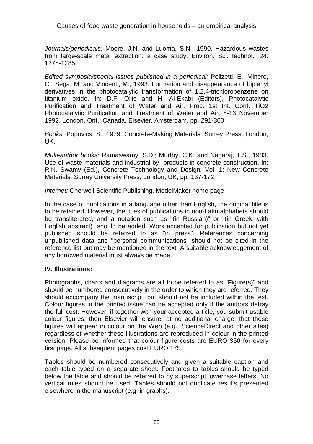Journals/periodicals: Moore, J.N. and Luoma, S.N., 1990. Hazardous wastes from large-scale metal extraction: a case study. Environ. Sci. technol., 24: 1278-1285.

Edited symposia/special issues published in a periodical: Pelizetti, E., Minero, C., Sega, M. and Vincenti, M., 1993. Formation and disappearance of biplenyl derivatives in the photocatalytic transformation of 1,2,4-trichlorobenzene on titanium oxide. In: D.F. Ollis and H. Al-Ekabi (Editors), Photocatalytic Purification and Treatment of Water and Air. Proc. 1st Int. Conf. TiO2 Photocatalytic Purification and Treatment of Water and Air, 8-13 November 1992, London, Ont., Canada. Elsevier, Amsterdam, pp. 291-300.

Books: Popovics, S., 1979. Concrete-Making Materials. Surrey Press, London, UK.

Multi-author books: Ramaswamy, S.D.; Murthy, C.K. and Nagaraj, T.S., 1983. Use of waste materials and industrial by- products in concrete construction. In: R.N. Swamy (Ed.), Concrete Technology and Design, Vol. 1: New Concrete Materials. Surrey University Press, London, UK, pp. 137-172.

Internet: Cherwell Scientific Publishing. ModelMaker home page

In the case of publications in a language other than English, the original title is to be retained. However, the titles of publications in non-Latin alphabets should be transliterated, and a notation such as "(in Russian)" or "(in Greek, with English abstract)" should be added. Work accepted for publication but not yet published should be referred to as "in press". References concerning unpublished data and "personal communications" should not be cited in the reference list but may be mentioned in the text. A suitable acknowledgement of any borrowed material must always be made.

#### **IV. Illustrations:**

Photographs, charts and diagrams are all to be referred to as "Figure(s)" and should be numbered consecutively in the order to which they are referred. They should accompany the manuscript, but should not be included within the text. Colour figures in the printed issue can be accepted only if the authors defray the full cost. However, if together with your accepted article, you submit usable colour figures, then Elsevier will ensure, at no additional charge, that these figures will appear in colour on the Web (e.g., ScienceDirect and other sites) regardless of whether these illustrations are reproduced in colour in the printed version. Please be informed that colour figure costs are EURO 350 for every first page. All subsequent pages cost EURO 175.

Tables should be numbered consecutively and given a suitable caption and each table typed on a separate sheet. Footnotes to tables should be typed below the table and should be referred to by superscript lowercase letters. No vertical rules should be used. Tables should not duplicate results presented elsewhere in the manuscript (e.g. in graphs).